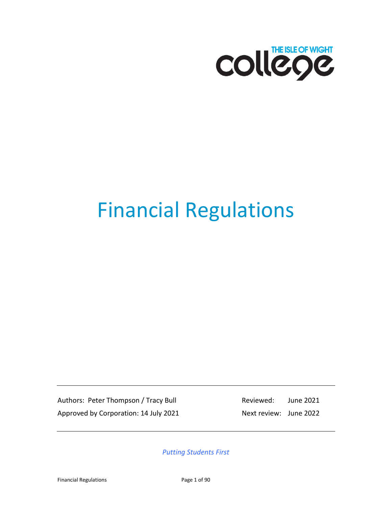

# Financial Regulations

Authors: Peter Thompson / Tracy Bull Reviewed: June 2021 Approved by Corporation: 14 July 2021 Next review: June 2022

*Putting Students First*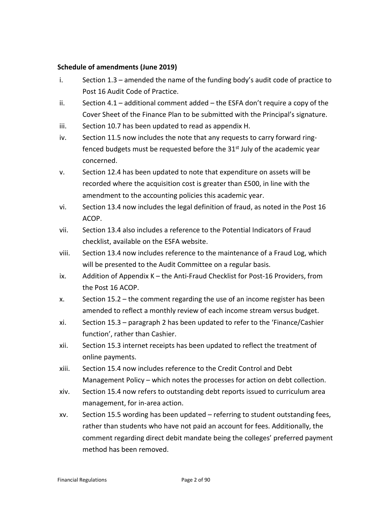#### **Schedule of amendments (June 2019)**

- i. Section 1.3 amended the name of the funding body's audit code of practice to Post 16 Audit Code of Practice.
- ii. Section  $4.1$  additional comment added the ESFA don't require a copy of the Cover Sheet of the Finance Plan to be submitted with the Principal's signature.
- iii. Section 10.7 has been updated to read as appendix H.
- iv. Section 11.5 now includes the note that any requests to carry forward ringfenced budgets must be requested before the  $31<sup>st</sup>$  July of the academic year concerned.
- v. Section 12.4 has been updated to note that expenditure on assets will be recorded where the acquisition cost is greater than £500, in line with the amendment to the accounting policies this academic year.
- vi. Section 13.4 now includes the legal definition of fraud, as noted in the Post 16 ACOP.
- vii. Section 13.4 also includes a reference to the Potential Indicators of Fraud checklist, available on the ESFA website.
- viii. Section 13.4 now includes reference to the maintenance of a Fraud Log, which will be presented to the Audit Committee on a regular basis.
- ix. Addition of Appendix K the Anti-Fraud Checklist for Post-16 Providers, from the Post 16 ACOP.
- x. Section 15.2 the comment regarding the use of an income register has been amended to reflect a monthly review of each income stream versus budget.
- xi. Section 15.3 paragraph 2 has been updated to refer to the 'Finance/Cashier function', rather than Cashier.
- xii. Section 15.3 internet receipts has been updated to reflect the treatment of online payments.
- xiii. Section 15.4 now includes reference to the Credit Control and Debt Management Policy – which notes the processes for action on debt collection.
- xiv. Section 15.4 now refers to outstanding debt reports issued to curriculum area management, for in-area action.
- xv. Section 15.5 wording has been updated referring to student outstanding fees, rather than students who have not paid an account for fees. Additionally, the comment regarding direct debit mandate being the colleges' preferred payment method has been removed.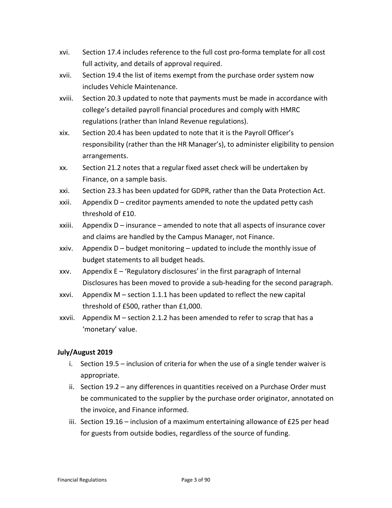- xvi. Section 17.4 includes reference to the full cost pro-forma template for all cost full activity, and details of approval required.
- xvii. Section 19.4 the list of items exempt from the purchase order system now includes Vehicle Maintenance.
- xviii. Section 20.3 updated to note that payments must be made in accordance with college's detailed payroll financial procedures and comply with HMRC regulations (rather than Inland Revenue regulations).
- xix. Section 20.4 has been updated to note that it is the Payroll Officer's responsibility (rather than the HR Manager's), to administer eligibility to pension arrangements.
- xx. Section 21.2 notes that a regular fixed asset check will be undertaken by Finance, on a sample basis.
- xxi. Section 23.3 has been updated for GDPR, rather than the Data Protection Act.
- xxii. Appendix  $D$  creditor payments amended to note the updated petty cash threshold of £10.
- xxiii. Appendix  $D -$  insurance amended to note that all aspects of insurance cover and claims are handled by the Campus Manager, not Finance.
- xxiv. Appendix  $D -$  budget monitoring updated to include the monthly issue of budget statements to all budget heads.
- xxv. Appendix  $E 'Regulatory disclosure'$  in the first paragraph of Internal Disclosures has been moved to provide a sub-heading for the second paragraph.
- xxvi. Appendix M section 1.1.1 has been updated to reflect the new capital threshold of £500, rather than £1,000.
- xxvii. Appendix M section 2.1.2 has been amended to refer to scrap that has a 'monetary' value.

#### **July/August 2019**

- i. Section 19.5 inclusion of criteria for when the use of a single tender waiver is appropriate.
- ii. Section 19.2 any differences in quantities received on a Purchase Order must be communicated to the supplier by the purchase order originator, annotated on the invoice, and Finance informed.
- iii. Section 19.16 inclusion of a maximum entertaining allowance of £25 per head for guests from outside bodies, regardless of the source of funding.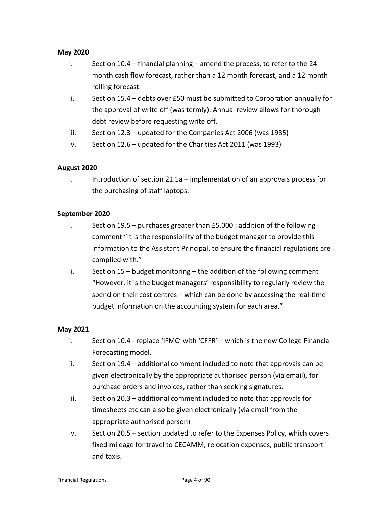#### **May 2020**

- i. Section 10.4 financial planning amend the process, to refer to the 24 month cash flow forecast, rather than a 12 month forecast, and a 12 month rolling forecast.
- ii. Section 15.4 debts over £50 must be submitted to Corporation annually for the approval of write off (was termly). Annual review allows for thorough debt review before requesting write off.
- iii. Section 12.3 updated for the Companies Act 2006 (was 1985)
- iv. Section 12.6 updated for the Charities Act 2011 (was 1993)

#### **August 2020**

i. Introduction of section 21.1a – implementation of an approvals process for the purchasing of staff laptops.

#### **September 2020**

- i. Section 19.5 purchases greater than £5,000 : addition of the following comment "It is the responsibility of the budget manager to provide this information to the Assistant Principal, to ensure the financial regulations are complied with."
- ii. Section 15 budget monitoring the addition of the following comment "However, it is the budget managers' responsibility to regularly review the spend on their cost centres – which can be done by accessing the real-time budget information on the accounting system for each area."

#### **May 2021**

- i. Section 10.4 replace 'IFMC' with 'CFFR' which is the new College Financial Forecasting model.
- ii. Section 19.4 additional comment included to note that approvals can be given electronically by the appropriate authorised person (via email), for purchase orders and invoices, rather than seeking signatures.
- iii. Section 20.3 additional comment included to note that approvals for timesheets etc can also be given electronically (via email from the appropriate authorised person)
- iv. Section 20.5 section updated to refer to the Expenses Policy, which covers fixed mileage for travel to CECAMM, relocation expenses, public transport and taxis.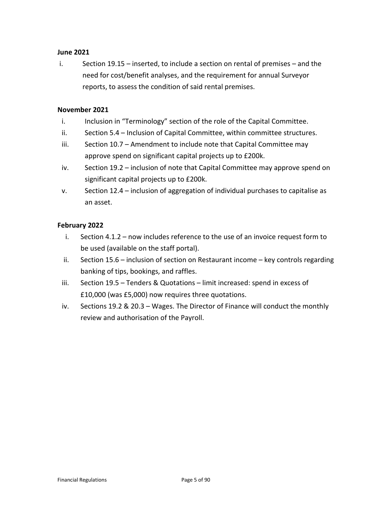#### **June 2021**

i. Section 19.15 – inserted, to include a section on rental of premises – and the need for cost/benefit analyses, and the requirement for annual Surveyor reports, to assess the condition of said rental premises.

#### **November 2021**

- i. Inclusion in "Terminology" section of the role of the Capital Committee.
- ii. Section 5.4 Inclusion of Capital Committee, within committee structures.
- iii. Section 10.7 Amendment to include note that Capital Committee may approve spend on significant capital projects up to £200k.
- iv. Section 19.2 inclusion of note that Capital Committee may approve spend on significant capital projects up to £200k.
- v. Section 12.4 inclusion of aggregation of individual purchases to capitalise as an asset.

#### **February 2022**

- i. Section 4.1.2 now includes reference to the use of an invoice request form to be used (available on the staff portal).
- ii. Section 15.6 inclusion of section on Restaurant income key controls regarding banking of tips, bookings, and raffles.
- iii. Section 19.5 Tenders & Quotations limit increased: spend in excess of £10,000 (was £5,000) now requires three quotations.
- iv. Sections 19.2 & 20.3 Wages. The Director of Finance will conduct the monthly review and authorisation of the Payroll.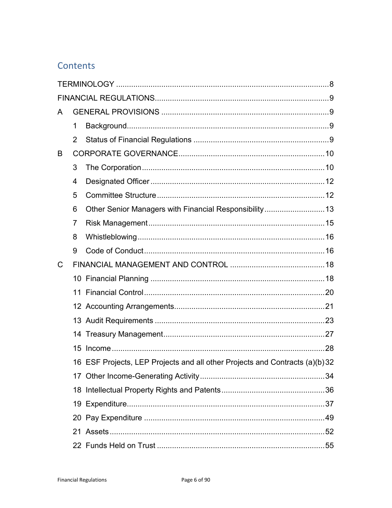# Contents

| A |    |                                                                              |  |
|---|----|------------------------------------------------------------------------------|--|
|   | 1  |                                                                              |  |
|   | 2  |                                                                              |  |
| B |    |                                                                              |  |
|   | 3  |                                                                              |  |
|   | 4  |                                                                              |  |
|   | 5  |                                                                              |  |
|   | 6  | Other Senior Managers with Financial Responsibility13                        |  |
|   | 7  |                                                                              |  |
|   | 8  |                                                                              |  |
|   | 9  |                                                                              |  |
| C |    |                                                                              |  |
|   |    |                                                                              |  |
|   | 11 |                                                                              |  |
|   |    |                                                                              |  |
|   |    |                                                                              |  |
|   |    |                                                                              |  |
|   | 15 |                                                                              |  |
|   |    | 16 ESF Projects, LEP Projects and all other Projects and Contracts (a)(b) 32 |  |
|   |    |                                                                              |  |
|   |    |                                                                              |  |
|   |    |                                                                              |  |
|   |    |                                                                              |  |
|   |    |                                                                              |  |
|   |    |                                                                              |  |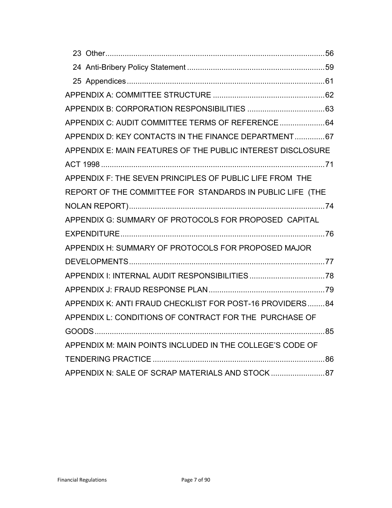| APPENDIX C: AUDIT COMMITTEE TERMS OF REFERENCE 64           |  |
|-------------------------------------------------------------|--|
| APPENDIX D: KEY CONTACTS IN THE FINANCE DEPARTMENT 67       |  |
| APPENDIX E: MAIN FEATURES OF THE PUBLIC INTEREST DISCLOSURE |  |
|                                                             |  |
| APPENDIX F: THE SEVEN PRINCIPLES OF PUBLIC LIFE FROM THE    |  |
| REPORT OF THE COMMITTEE FOR STANDARDS IN PUBLIC LIFE (THE   |  |
|                                                             |  |
| APPENDIX G: SUMMARY OF PROTOCOLS FOR PROPOSED CAPITAL       |  |
|                                                             |  |
| APPENDIX H: SUMMARY OF PROTOCOLS FOR PROPOSED MAJOR         |  |
|                                                             |  |
|                                                             |  |
|                                                             |  |
| APPENDIX K: ANTI FRAUD CHECKLIST FOR POST-16 PROVIDERS84    |  |
| APPENDIX L: CONDITIONS OF CONTRACT FOR THE PURCHASE OF      |  |
|                                                             |  |
| APPENDIX M: MAIN POINTS INCLUDED IN THE COLLEGE'S CODE OF   |  |
|                                                             |  |
| APPENDIX N: SALE OF SCRAP MATERIALS AND STOCK87             |  |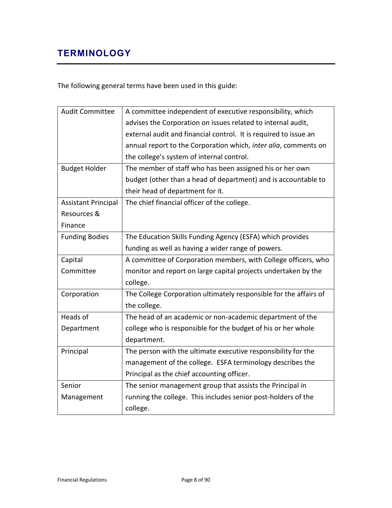# <span id="page-7-0"></span>**TERMINOLOGY**

The following general terms have been used in this guide:

| <b>Audit Committee</b>     | A committee independent of executive responsibility, which        |
|----------------------------|-------------------------------------------------------------------|
|                            | advises the Corporation on issues related to internal audit,      |
|                            | external audit and financial control. It is required to issue an  |
|                            | annual report to the Corporation which, inter alia, comments on   |
|                            | the college's system of internal control.                         |
| <b>Budget Holder</b>       | The member of staff who has been assigned his or her own          |
|                            | budget (other than a head of department) and is accountable to    |
|                            | their head of department for it.                                  |
| <b>Assistant Principal</b> | The chief financial officer of the college.                       |
| Resources &                |                                                                   |
| Finance                    |                                                                   |
| <b>Funding Bodies</b>      | The Education Skills Funding Agency (ESFA) which provides         |
|                            | funding as well as having a wider range of powers.                |
| Capital                    | A committee of Corporation members, with College officers, who    |
| Committee                  | monitor and report on large capital projects undertaken by the    |
|                            | college.                                                          |
| Corporation                | The College Corporation ultimately responsible for the affairs of |
|                            | the college.                                                      |
| Heads of                   | The head of an academic or non-academic department of the         |
| Department                 | college who is responsible for the budget of his or her whole     |
|                            | department.                                                       |
| Principal                  | The person with the ultimate executive responsibility for the     |
|                            | management of the college. ESFA terminology describes the         |
|                            | Principal as the chief accounting officer.                        |
| Senior                     | The senior management group that assists the Principal in         |
| Management                 | running the college. This includes senior post-holders of the     |
|                            | college.                                                          |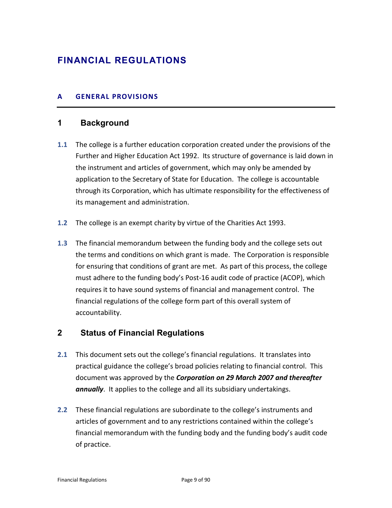# <span id="page-8-1"></span><span id="page-8-0"></span>**FINANCIAL REGULATIONS**

# **A GENERAL PROVISIONS**

# <span id="page-8-2"></span>**1 Background**

- **1.1** The college is a further education corporation created under the provisions of the Further and Higher Education Act 1992. Its structure of governance is laid down in the instrument and articles of government, which may only be amended by application to the Secretary of State for Education. The college is accountable through its Corporation, which has ultimate responsibility for the effectiveness of its management and administration.
- **1.2** The college is an exempt charity by virtue of the Charities Act 1993.
- **1.3** The financial memorandum between the funding body and the college sets out the terms and conditions on which grant is made. The Corporation is responsible for ensuring that conditions of grant are met. As part of this process, the college must adhere to the funding body's Post-16 audit code of practice (ACOP), which requires it to have sound systems of financial and management control. The financial regulations of the college form part of this overall system of accountability.

# <span id="page-8-3"></span>**2 Status of Financial Regulations**

- **2.1** This document sets out the college's financial regulations. It translates into practical guidance the college's broad policies relating to financial control. This document was approved by the *Corporation on 29 March 2007 and thereafter annually*. It applies to the college and all its subsidiary undertakings.
- **2.2** These financial regulations are subordinate to the college's instruments and articles of government and to any restrictions contained within the college's financial memorandum with the funding body and the funding body's audit code of practice.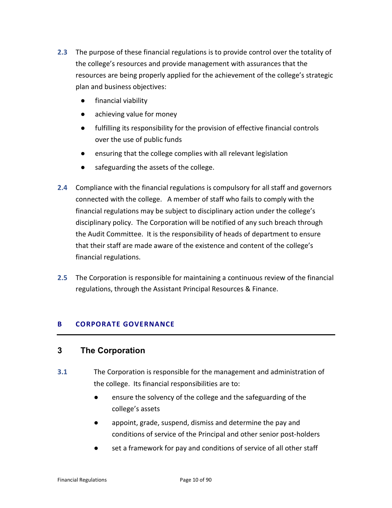- **2.3** The purpose of these financial regulations is to provide control over the totality of the college's resources and provide management with assurances that the resources are being properly applied for the achievement of the college's strategic plan and business objectives:
	- financial viability
	- achieving value for money
	- fulfilling its responsibility for the provision of effective financial controls over the use of public funds
	- ensuring that the college complies with all relevant legislation
	- safeguarding the assets of the college.
- **2.4** Compliance with the financial regulations is compulsory for all staff and governors connected with the college. A member of staff who fails to comply with the financial regulations may be subject to disciplinary action under the college's disciplinary policy. The Corporation will be notified of any such breach through the Audit Committee. It is the responsibility of heads of department to ensure that their staff are made aware of the existence and content of the college's financial regulations.
- <span id="page-9-0"></span>**2.5** The Corporation is responsible for maintaining a continuous review of the financial regulations, through the Assistant Principal Resources & Finance.

#### **B CORPORATE GOVERNANCE**

# <span id="page-9-1"></span>**3 The Corporation**

- **3.1** The Corporation is responsible for the management and administration of the college. Its financial responsibilities are to:
	- ensure the solvency of the college and the safeguarding of the college's assets
	- appoint, grade, suspend, dismiss and determine the pay and conditions of service of the Principal and other senior post-holders
	- set a framework for pay and conditions of service of all other staff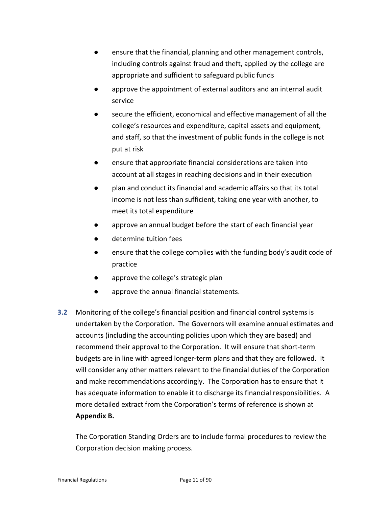- ensure that the financial, planning and other management controls, including controls against fraud and theft, applied by the college are appropriate and sufficient to safeguard public funds
- approve the appointment of external auditors and an internal audit service
- secure the efficient, economical and effective management of all the college's resources and expenditure, capital assets and equipment, and staff, so that the investment of public funds in the college is not put at risk
- ensure that appropriate financial considerations are taken into account at all stages in reaching decisions and in their execution
- plan and conduct its financial and academic affairs so that its total income is not less than sufficient, taking one year with another, to meet its total expenditure
- approve an annual budget before the start of each financial year
- determine tuition fees
- ensure that the college complies with the funding body's audit code of practice
- approve the college's strategic plan
- approve the annual financial statements.
- **3.2** Monitoring of the college's financial position and financial control systems is undertaken by the Corporation. The Governors will examine annual estimates and accounts (including the accounting policies upon which they are based) and recommend their approval to the Corporation. It will ensure that short-term budgets are in line with agreed longer-term plans and that they are followed. It will consider any other matters relevant to the financial duties of the Corporation and make recommendations accordingly. The Corporation has to ensure that it has adequate information to enable it to discharge its financial responsibilities. A more detailed extract from the Corporation's terms of reference is shown at **Appendix B.**

The Corporation Standing Orders are to include formal procedures to review the Corporation decision making process.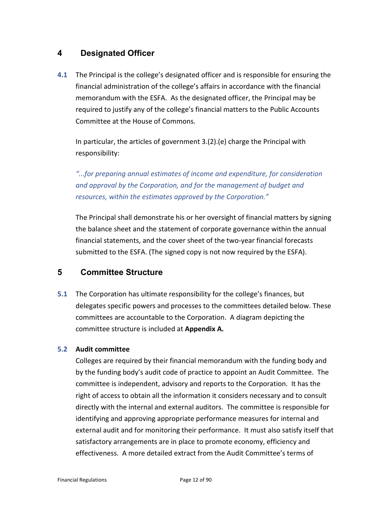# <span id="page-11-0"></span>**4 Designated Officer**

**4.1** The Principal is the college's designated officer and is responsible for ensuring the financial administration of the college's affairs in accordance with the financial memorandum with the ESFA. As the designated officer, the Principal may be required to justify any of the college's financial matters to the Public Accounts Committee at the House of Commons.

In particular, the articles of government 3.(2).(e) charge the Principal with responsibility:

*"...for preparing annual estimates of income and expenditure, for consideration and approval by the Corporation, and for the management of budget and resources, within the estimates approved by the Corporation."*

The Principal shall demonstrate his or her oversight of financial matters by signing the balance sheet and the statement of corporate governance within the annual financial statements, and the cover sheet of the two-year financial forecasts submitted to the ESFA. (The signed copy is not now required by the ESFA).

# <span id="page-11-1"></span>**5 Committee Structure**

**5.1** The Corporation has ultimate responsibility for the college's finances, but delegates specific powers and processes to the committees detailed below. These committees are accountable to the Corporation. A diagram depicting the committee structure is included at **Appendix A.**

# **5.2 Audit committee**

Colleges are required by their financial memorandum with the funding body and by the funding body's audit code of practice to appoint an Audit Committee. The committee is independent, advisory and reports to the Corporation. It has the right of access to obtain all the information it considers necessary and to consult directly with the internal and external auditors. The committee is responsible for identifying and approving appropriate performance measures for internal and external audit and for monitoring their performance. It must also satisfy itself that satisfactory arrangements are in place to promote economy, efficiency and effectiveness.A more detailed extract from the Audit Committee's terms of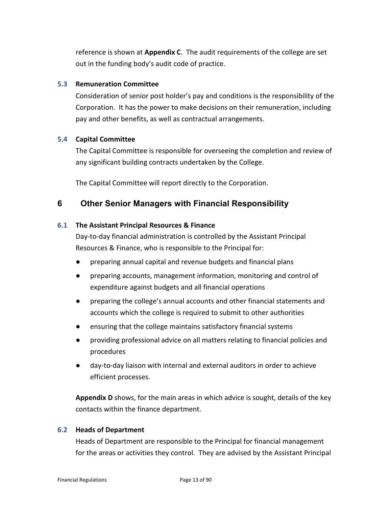reference is shown at **Appendix C**. The audit requirements of the college are set out in the funding body's audit code of practice.

#### **5.3 Remuneration Committee**

Consideration of senior post holder's pay and conditions is the responsibility of the Corporation. It has the power to make decisions on their remuneration, including pay and other benefits, as well as contractual arrangements.

#### **5.4 Capital Committee**

The Capital Committee is responsible for overseeing the completion and review of any significant building contracts undertaken by the College.

The Capital Committee will report directly to the Corporation.

# <span id="page-12-0"></span>**6 Other Senior Managers with Financial Responsibility**

#### **6.1 The Assistant Principal Resources & Finance**

Day-to-day financial administration is controlled by the Assistant Principal Resources & Finance, who is responsible to the Principal for:

- preparing annual capital and revenue budgets and financial plans
- preparing accounts, management information, monitoring and control of expenditure against budgets and all financial operations
- preparing the college's annual accounts and other financial statements and accounts which the college is required to submit to other authorities
- ensuring that the college maintains satisfactory financial systems
- providing professional advice on all matters relating to financial policies and procedures
- day-to-day liaison with internal and external auditors in order to achieve efficient processes.

**Appendix D** shows, for the main areas in which advice is sought, details of the key contacts within the finance department.

#### **6.2 Heads of Department**

Heads of Department are responsible to the Principal for financial management for the areas or activities they control. They are advised by the Assistant Principal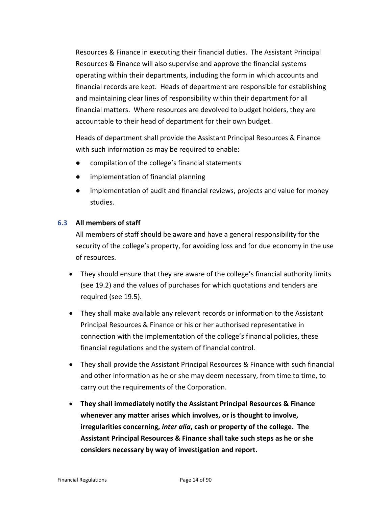Resources & Finance in executing their financial duties. The Assistant Principal Resources & Finance will also supervise and approve the financial systems operating within their departments, including the form in which accounts and financial records are kept. Heads of department are responsible for establishing and maintaining clear lines of responsibility within their department for all financial matters. Where resources are devolved to budget holders, they are accountable to their head of department for their own budget.

Heads of department shall provide the Assistant Principal Resources & Finance with such information as may be required to enable:

- compilation of the college's financial statements
- implementation of financial planning
- implementation of audit and financial reviews, projects and value for money studies.

#### **6.3 All members of staff**

All members of staff should be aware and have a general responsibility for the security of the college's property, for avoiding loss and for due economy in the use of resources.

- They should ensure that they are aware of the college's financial authority limits (see 19.2) and the values of purchases for which quotations and tenders are required (see 19.5).
- They shall make available any relevant records or information to the Assistant Principal Resources & Finance or his or her authorised representative in connection with the implementation of the college's financial policies, these financial regulations and the system of financial control.
- They shall provide the Assistant Principal Resources & Finance with such financial and other information as he or she may deem necessary, from time to time, to carry out the requirements of the Corporation.
- **They shall immediately notify the Assistant Principal Resources & Finance whenever any matter arises which involves, or is thought to involve, irregularities concerning,** *inter alia***, cash or property of the college. The Assistant Principal Resources & Finance shall take such steps as he or she considers necessary by way of investigation and report.**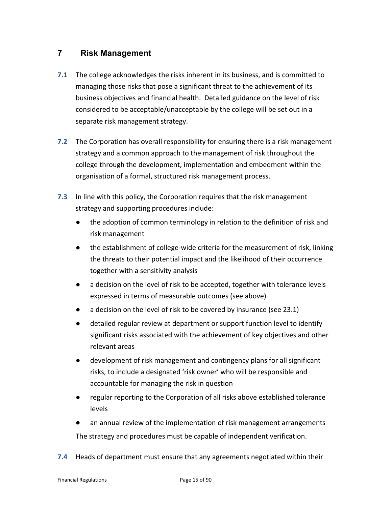# <span id="page-14-0"></span>**7 Risk Management**

- **7.1** The college acknowledges the risks inherent in its business, and is committed to managing those risks that pose a significant threat to the achievement of its business objectives and financial health. Detailed guidance on the level of risk considered to be acceptable/unacceptable by the college will be set out in a separate risk management strategy.
- **7.2** The Corporation has overall responsibility for ensuring there is a risk management strategy and a common approach to the management of risk throughout the college through the development, implementation and embedment within the organisation of a formal, structured risk management process.
- **7.3** In line with this policy, the Corporation requires that the risk management strategy and supporting procedures include:
	- the adoption of common terminology in relation to the definition of risk and risk management
	- the establishment of college-wide criteria for the measurement of risk, linking the threats to their potential impact and the likelihood of their occurrence together with a sensitivity analysis
	- a decision on the level of risk to be accepted, together with tolerance levels expressed in terms of measurable outcomes (see above)
	- a decision on the level of risk to be covered by insurance (see 23.1)
	- detailed regular review at department or support function level to identify significant risks associated with the achievement of key objectives and other relevant areas
	- development of risk management and contingency plans for all significant risks, to include a designated 'risk owner' who will be responsible and accountable for managing the risk in question
	- regular reporting to the Corporation of all risks above established tolerance levels
	- an annual review of the implementation of risk management arrangements The strategy and procedures must be capable of independent verification.
- **7.4** Heads of department must ensure that any agreements negotiated within their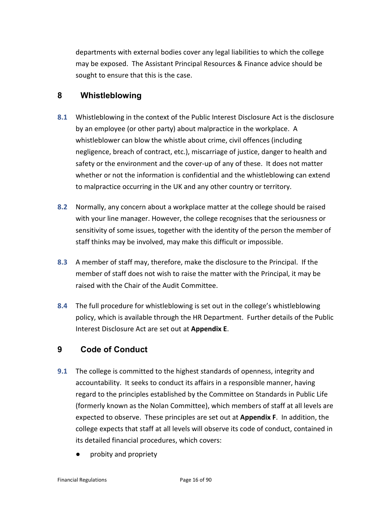departments with external bodies cover any legal liabilities to which the college may be exposed. The Assistant Principal Resources & Finance advice should be sought to ensure that this is the case.

# <span id="page-15-0"></span>**8 Whistleblowing**

- **8.1** Whistleblowing in the context of the Public Interest Disclosure Act is the disclosure by an employee (or other party) about malpractice in the workplace. A whistleblower can blow the whistle about crime, civil offences (including negligence, breach of contract, etc.), miscarriage of justice, danger to health and safety or the environment and the cover-up of any of these. It does not matter whether or not the information is confidential and the whistleblowing can extend to malpractice occurring in the UK and any other country or territory.
- **8.2** Normally, any concern about a workplace matter at the college should be raised with your line manager. However, the college recognises that the seriousness or sensitivity of some issues, together with the identity of the person the member of staff thinks may be involved, may make this difficult or impossible.
- **8.3** A member of staff may, therefore, make the disclosure to the Principal. If the member of staff does not wish to raise the matter with the Principal, it may be raised with the Chair of the Audit Committee.
- **8.4** The full procedure for whistleblowing is set out in the college's whistleblowing policy, which is available through the HR Department. Further details of the Public Interest Disclosure Act are set out at **Appendix E**.

# <span id="page-15-1"></span>**9 Code of Conduct**

- **9.1** The college is committed to the highest standards of openness, integrity and accountability. It seeks to conduct its affairs in a responsible manner, having regard to the principles established by the Committee on Standards in Public Life (formerly known as the Nolan Committee), which members of staff at all levels are expected to observe. These principles are set out at **Appendix F**. In addition, the college expects that staff at all levels will observe its code of conduct, contained in its detailed financial procedures, which covers:
	- probity and propriety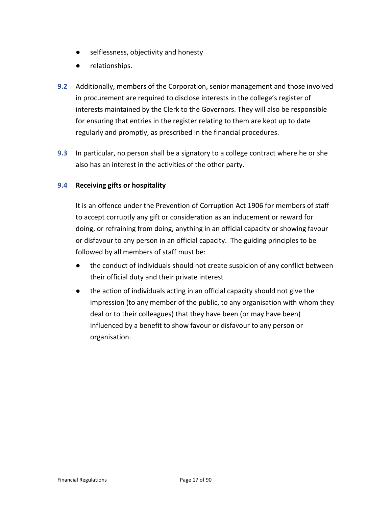- selflessness, objectivity and honesty
- relationships.
- **9.2** Additionally, members of the Corporation, senior management and those involved in procurement are required to disclose interests in the college's register of interests maintained by the Clerk to the Governors. They will also be responsible for ensuring that entries in the register relating to them are kept up to date regularly and promptly, as prescribed in the financial procedures.
- **9.3** In particular, no person shall be a signatory to a college contract where he or she also has an interest in the activities of the other party.

#### **9.4 Receiving gifts or hospitality**

It is an offence under the Prevention of Corruption Act 1906 for members of staff to accept corruptly any gift or consideration as an inducement or reward for doing, or refraining from doing, anything in an official capacity or showing favour or disfavour to any person in an official capacity. The guiding principles to be followed by all members of staff must be:

- the conduct of individuals should not create suspicion of any conflict between their official duty and their private interest
- the action of individuals acting in an official capacity should not give the impression (to any member of the public, to any organisation with whom they deal or to their colleagues) that they have been (or may have been) influenced by a benefit to show favour or disfavour to any person or organisation.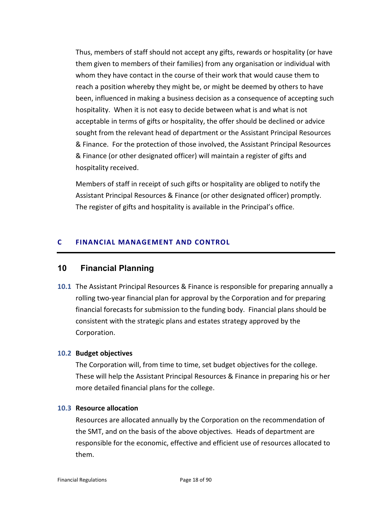Thus, members of staff should not accept any gifts, rewards or hospitality (or have them given to members of their families) from any organisation or individual with whom they have contact in the course of their work that would cause them to reach a position whereby they might be, or might be deemed by others to have been, influenced in making a business decision as a consequence of accepting such hospitality. When it is not easy to decide between what is and what is not acceptable in terms of gifts or hospitality, the offer should be declined or advice sought from the relevant head of department or the Assistant Principal Resources & Finance. For the protection of those involved, the Assistant Principal Resources & Finance (or other designated officer) will maintain a register of gifts and hospitality received.

Members of staff in receipt of such gifts or hospitality are obliged to notify the Assistant Principal Resources & Finance (or other designated officer) promptly. The register of gifts and hospitality is available in the Principal's office.

#### <span id="page-17-0"></span>**C FINANCIAL MANAGEMENT AND CONTROL**

# <span id="page-17-1"></span>**10 Financial Planning**

**10.1** The Assistant Principal Resources & Finance is responsible for preparing annually a rolling two-year financial plan for approval by the Corporation and for preparing financial forecasts for submission to the funding body. Financial plans should be consistent with the strategic plans and estates strategy approved by the Corporation.

#### **10.2 Budget objectives**

The Corporation will, from time to time, set budget objectives for the college. These will help the Assistant Principal Resources & Finance in preparing his or her more detailed financial plans for the college.

#### **10.3 Resource allocation**

Resources are allocated annually by the Corporation on the recommendation of the SMT, and on the basis of the above objectives. Heads of department are responsible for the economic, effective and efficient use of resources allocated to them.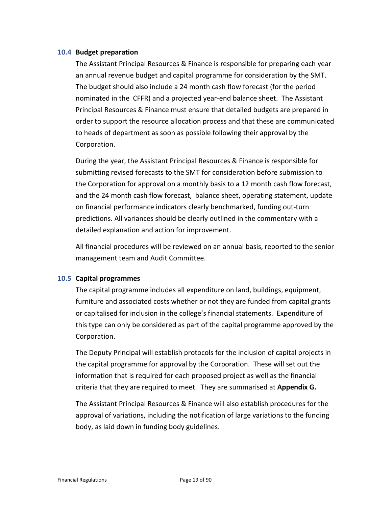#### **10.4 Budget preparation**

The Assistant Principal Resources & Finance is responsible for preparing each year an annual revenue budget and capital programme for consideration by the SMT. The budget should also include a 24 month cash flow forecast (for the period nominated in the CFFR) and a projected year-end balance sheet. The Assistant Principal Resources & Finance must ensure that detailed budgets are prepared in order to support the resource allocation process and that these are communicated to heads of department as soon as possible following their approval by the Corporation.

During the year, the Assistant Principal Resources & Finance is responsible for submitting revised forecasts to the SMT for consideration before submission to the Corporation for approval on a monthly basis to a 12 month cash flow forecast, and the 24 month cash flow forecast, balance sheet, operating statement, update on financial performance indicators clearly benchmarked, funding out-turn predictions. All variances should be clearly outlined in the commentary with a detailed explanation and action for improvement.

All financial procedures will be reviewed on an annual basis, reported to the senior management team and Audit Committee.

#### **10.5 Capital programmes**

The capital programme includes all expenditure on land, buildings, equipment, furniture and associated costs whether or not they are funded from capital grants or capitalised for inclusion in the college's financial statements. Expenditure of this type can only be considered as part of the capital programme approved by the Corporation.

The Deputy Principal will establish protocols for the inclusion of capital projects in the capital programme for approval by the Corporation. These will set out the information that is required for each proposed project as well as the financial criteria that they are required to meet. They are summarised at **Appendix G.**

The Assistant Principal Resources & Finance will also establish procedures for the approval of variations, including the notification of large variations to the funding body, as laid down in funding body guidelines.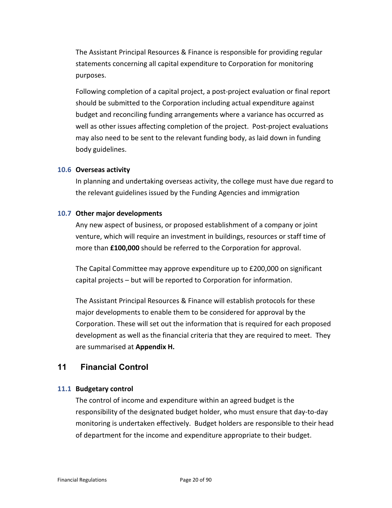The Assistant Principal Resources & Finance is responsible for providing regular statements concerning all capital expenditure to Corporation for monitoring purposes.

Following completion of a capital project, a post-project evaluation or final report should be submitted to the Corporation including actual expenditure against budget and reconciling funding arrangements where a variance has occurred as well as other issues affecting completion of the project. Post-project evaluations may also need to be sent to the relevant funding body, as laid down in funding body guidelines.

#### **10.6 Overseas activity**

In planning and undertaking overseas activity, the college must have due regard to the relevant guidelines issued by the Funding Agencies and immigration

#### **10.7 Other major developments**

Any new aspect of business, or proposed establishment of a company or joint venture, which will require an investment in buildings, resources or staff time of more than **£100,000** should be referred to the Corporation for approval.

The Capital Committee may approve expenditure up to £200,000 on significant capital projects – but will be reported to Corporation for information.

The Assistant Principal Resources & Finance will establish protocols for these major developments to enable them to be considered for approval by the Corporation. These will set out the information that is required for each proposed development as well as the financial criteria that they are required to meet. They are summarised at **Appendix H.**

# <span id="page-19-0"></span>**11 Financial Control**

#### **11.1 Budgetary control**

The control of income and expenditure within an agreed budget is the responsibility of the designated budget holder, who must ensure that day-to-day monitoring is undertaken effectively. Budget holders are responsible to their head of department for the income and expenditure appropriate to their budget.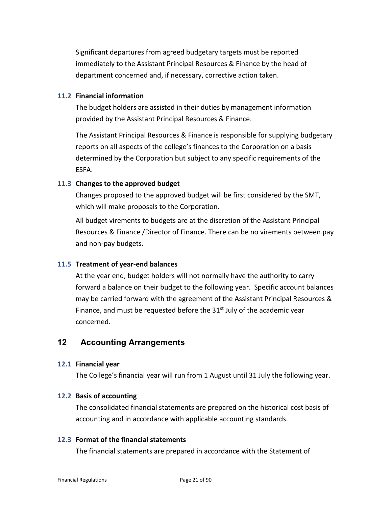Significant departures from agreed budgetary targets must be reported immediately to the Assistant Principal Resources & Finance by the head of department concerned and, if necessary, corrective action taken.

#### **11.2 Financial information**

The budget holders are assisted in their duties by management information provided by the Assistant Principal Resources & Finance.

The Assistant Principal Resources & Finance is responsible for supplying budgetary reports on all aspects of the college's finances to the Corporation on a basis determined by the Corporation but subject to any specific requirements of the ESFA.

#### **11.3 Changes to the approved budget**

Changes proposed to the approved budget will be first considered by the SMT, which will make proposals to the Corporation.

All budget virements to budgets are at the discretion of the Assistant Principal Resources & Finance /Director of Finance. There can be no virements between pay and non-pay budgets.

#### **11.5 Treatment of year-end balances**

At the year end, budget holders will not normally have the authority to carry forward a balance on their budget to the following year. Specific account balances may be carried forward with the agreement of the Assistant Principal Resources & Finance, and must be requested before the  $31<sup>st</sup>$  July of the academic year concerned.

# <span id="page-20-0"></span>**12 Accounting Arrangements**

#### **12.1 Financial year**

The College's financial year will run from 1 August until 31 July the following year.

#### **12.2 Basis of accounting**

The consolidated financial statements are prepared on the historical cost basis of accounting and in accordance with applicable accounting standards.

#### **12.3 Format of the financial statements**

The financial statements are prepared in accordance with the Statement of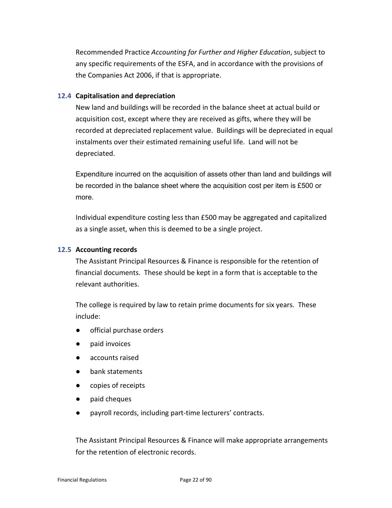Recommended Practice *Accounting for Further and Higher Education*, subject to any specific requirements of the ESFA, and in accordance with the provisions of the Companies Act 2006, if that is appropriate.

#### **12.4 Capitalisation and depreciation**

New land and buildings will be recorded in the balance sheet at actual build or acquisition cost, except where they are received as gifts, where they will be recorded at depreciated replacement value. Buildings will be depreciated in equal instalments over their estimated remaining useful life. Land will not be depreciated.

Expenditure incurred on the acquisition of assets other than land and buildings will be recorded in the balance sheet where the acquisition cost per item is £500 or more.

Individual expenditure costing less than £500 may be aggregated and capitalized as a single asset, when this is deemed to be a single project.

#### **12.5 Accounting records**

The Assistant Principal Resources & Finance is responsible for the retention of financial documents. These should be kept in a form that is acceptable to the relevant authorities.

The college is required by law to retain prime documents for six years. These include:

- official purchase orders
- paid invoices
- accounts raised
- bank statements
- copies of receipts
- paid cheques
- payroll records, including part-time lecturers' contracts.

The Assistant Principal Resources & Finance will make appropriate arrangements for the retention of electronic records.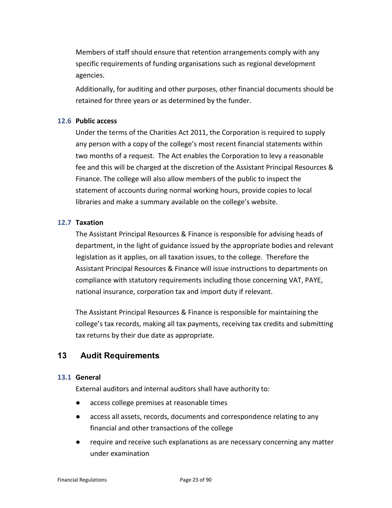Members of staff should ensure that retention arrangements comply with any specific requirements of funding organisations such as regional development agencies.

Additionally, for auditing and other purposes, other financial documents should be retained for three years or as determined by the funder.

#### **12.6 Public access**

Under the terms of the Charities Act 2011, the Corporation is required to supply any person with a copy of the college's most recent financial statements within two months of a request. The Act enables the Corporation to levy a reasonable fee and this will be charged at the discretion of the Assistant Principal Resources & Finance. The college will also allow members of the public to inspect the statement of accounts during normal working hours, provide copies to local libraries and make a summary available on the college's website.

#### **12.7 Taxation**

The Assistant Principal Resources & Finance is responsible for advising heads of department, in the light of guidance issued by the appropriate bodies and relevant legislation as it applies, on all taxation issues, to the college. Therefore the Assistant Principal Resources & Finance will issue instructions to departments on compliance with statutory requirements including those concerning VAT, PAYE, national insurance, corporation tax and import duty if relevant.

The Assistant Principal Resources & Finance is responsible for maintaining the college's tax records, making all tax payments, receiving tax credits and submitting tax returns by their due date as appropriate.

# <span id="page-22-0"></span>**13 Audit Requirements**

#### **13.1 General**

External auditors and internal auditors shall have authority to:

- access college premises at reasonable times
- access all assets, records, documents and correspondence relating to any financial and other transactions of the college
- require and receive such explanations as are necessary concerning any matter under examination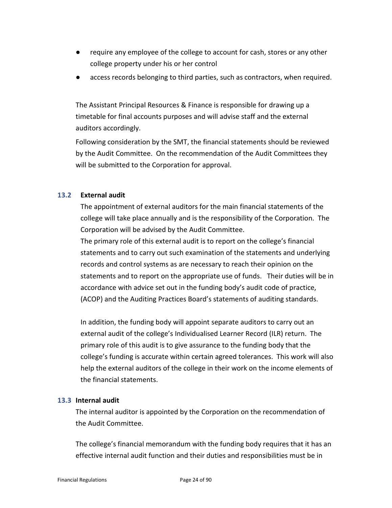- require any employee of the college to account for cash, stores or any other college property under his or her control
- access records belonging to third parties, such as contractors, when required.

The Assistant Principal Resources & Finance is responsible for drawing up a timetable for final accounts purposes and will advise staff and the external auditors accordingly.

Following consideration by the SMT, the financial statements should be reviewed by the Audit Committee. On the recommendation of the Audit Committees they will be submitted to the Corporation for approval.

#### **13.2 External audit**

The appointment of external auditors for the main financial statements of the college will take place annually and is the responsibility of the Corporation. The Corporation will be advised by the Audit Committee.

The primary role of this external audit is to report on the college's financial statements and to carry out such examination of the statements and underlying records and control systems as are necessary to reach their opinion on the statements and to report on the appropriate use of funds. Their duties will be in accordance with advice set out in the funding body's audit code of practice, (ACOP) and the Auditing Practices Board's statements of auditing standards.

In addition, the funding body will appoint separate auditors to carry out an external audit of the college's Individualised Learner Record (ILR) return. The primary role of this audit is to give assurance to the funding body that the college's funding is accurate within certain agreed tolerances. This work will also help the external auditors of the college in their work on the income elements of the financial statements.

#### **13.3 Internal audit**

The internal auditor is appointed by the Corporation on the recommendation of the Audit Committee.

The college's financial memorandum with the funding body requires that it has an effective internal audit function and their duties and responsibilities must be in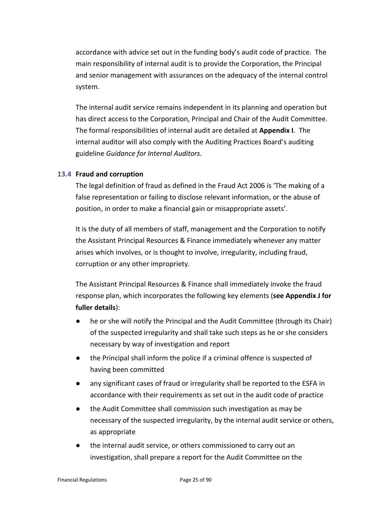accordance with advice set out in the funding body's audit code of practice. The main responsibility of internal audit is to provide the Corporation, the Principal and senior management with assurances on the adequacy of the internal control system.

The internal audit service remains independent in its planning and operation but has direct access to the Corporation, Principal and Chair of the Audit Committee. The formal responsibilities of internal audit are detailed at **Appendix I**. The internal auditor will also comply with the Auditing Practices Board's auditing guideline *Guidance for Internal Auditors.*

#### **13.4 Fraud and corruption**

The legal definition of fraud as defined in the Fraud Act 2006 is 'The making of a false representation or failing to disclose relevant information, or the abuse of position, in order to make a financial gain or misappropriate assets'.

It is the duty of all members of staff, management and the Corporation to notify the Assistant Principal Resources & Finance immediately whenever any matter arises which involves, or is thought to involve, irregularity, including fraud, corruption or any other impropriety.

The Assistant Principal Resources & Finance shall immediately invoke the fraud response plan, which incorporates the following key elements (**see Appendix J for fuller details**):

- he or she will notify the Principal and the Audit Committee (through its Chair) of the suspected irregularity and shall take such steps as he or she considers necessary by way of investigation and report
- the Principal shall inform the police if a criminal offence is suspected of having been committed
- any significant cases of fraud or irregularity shall be reported to the ESFA in accordance with their requirements as set out in the audit code of practice
- the Audit Committee shall commission such investigation as may be necessary of the suspected irregularity, by the internal audit service or others, as appropriate
- the internal audit service, or others commissioned to carry out an investigation, shall prepare a report for the Audit Committee on the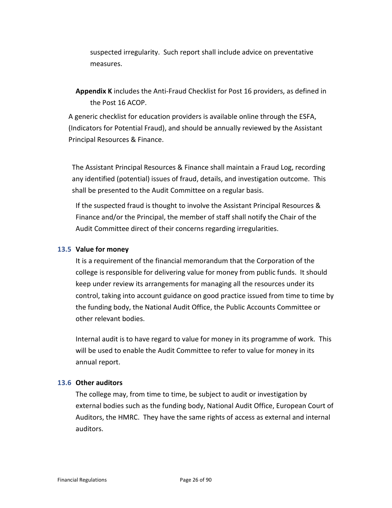suspected irregularity. Such report shall include advice on preventative measures.

**Appendix K** includes the Anti-Fraud Checklist for Post 16 providers, as defined in the Post 16 ACOP.

A generic checklist for education providers is available online through the ESFA, (Indicators for Potential Fraud), and should be annually reviewed by the Assistant Principal Resources & Finance.

The Assistant Principal Resources & Finance shall maintain a Fraud Log, recording any identified (potential) issues of fraud, details, and investigation outcome. This shall be presented to the Audit Committee on a regular basis.

If the suspected fraud is thought to involve the Assistant Principal Resources & Finance and/or the Principal, the member of staff shall notify the Chair of the Audit Committee direct of their concerns regarding irregularities.

#### **13.5 Value for money**

It is a requirement of the financial memorandum that the Corporation of the college is responsible for delivering value for money from public funds. It should keep under review its arrangements for managing all the resources under its control, taking into account guidance on good practice issued from time to time by the funding body, the National Audit Office, the Public Accounts Committee or other relevant bodies.

Internal audit is to have regard to value for money in its programme of work. This will be used to enable the Audit Committee to refer to value for money in its annual report.

#### **13.6 Other auditors**

The college may, from time to time, be subject to audit or investigation by external bodies such as the funding body, National Audit Office, European Court of Auditors, the HMRC. They have the same rights of access as external and internal auditors.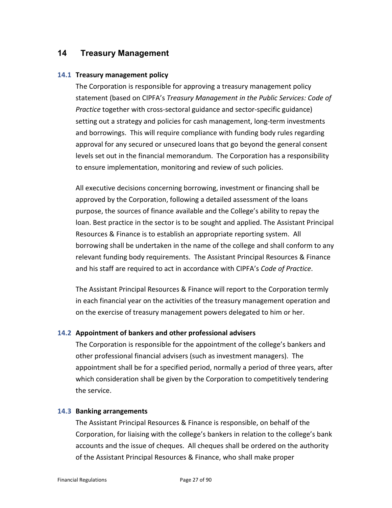# <span id="page-26-0"></span>**14 Treasury Management**

#### **14.1 Treasury management policy**

The Corporation is responsible for approving a treasury management policy statement (based on CIPFA's *Treasury Management in the Public Services: Code of Practice* together with cross-sectoral guidance and sector-specific guidance) setting out a strategy and policies for cash management, long-term investments and borrowings. This will require compliance with funding body rules regarding approval for any secured or unsecured loans that go beyond the general consent levels set out in the financial memorandum. The Corporation has a responsibility to ensure implementation, monitoring and review of such policies.

All executive decisions concerning borrowing, investment or financing shall be approved by the Corporation, following a detailed assessment of the loans purpose, the sources of finance available and the College's ability to repay the loan. Best practice in the sector is to be sought and applied. The Assistant Principal Resources & Finance is to establish an appropriate reporting system. All borrowing shall be undertaken in the name of the college and shall conform to any relevant funding body requirements. The Assistant Principal Resources & Finance and his staff are required to act in accordance with CIPFA's *Code of Practice*.

The Assistant Principal Resources & Finance will report to the Corporation termly in each financial year on the activities of the treasury management operation and on the exercise of treasury management powers delegated to him or her.

#### **14.2 Appointment of bankers and other professional advisers**

The Corporation is responsible for the appointment of the college's bankers and other professional financial advisers (such as investment managers). The appointment shall be for a specified period, normally a period of three years, after which consideration shall be given by the Corporation to competitively tendering the service.

#### **14.3 Banking arrangements**

The Assistant Principal Resources & Finance is responsible, on behalf of the Corporation, for liaising with the college's bankers in relation to the college's bank accounts and the issue of cheques. All cheques shall be ordered on the authority of the Assistant Principal Resources & Finance, who shall make proper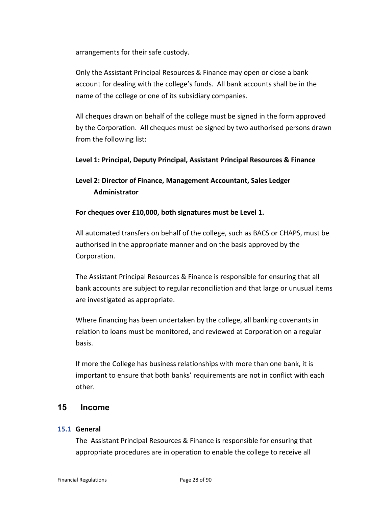arrangements for their safe custody.

Only the Assistant Principal Resources & Finance may open or close a bank account for dealing with the college's funds. All bank accounts shall be in the name of the college or one of its subsidiary companies.

All cheques drawn on behalf of the college must be signed in the form approved by the Corporation. All cheques must be signed by two authorised persons drawn from the following list:

#### **Level 1: Principal, Deputy Principal, Assistant Principal Resources & Finance**

# **Level 2: Director of Finance, Management Accountant, Sales Ledger Administrator**

#### **For cheques over £10,000, both signatures must be Level 1.**

All automated transfers on behalf of the college, such as BACS or CHAPS, must be authorised in the appropriate manner and on the basis approved by the Corporation.

The Assistant Principal Resources & Finance is responsible for ensuring that all bank accounts are subject to regular reconciliation and that large or unusual items are investigated as appropriate.

Where financing has been undertaken by the college, all banking covenants in relation to loans must be monitored, and reviewed at Corporation on a regular basis.

If more the College has business relationships with more than one bank, it is important to ensure that both banks' requirements are not in conflict with each other.

#### <span id="page-27-0"></span>**15 Income**

#### **15.1 General**

The Assistant Principal Resources & Finance is responsible for ensuring that appropriate procedures are in operation to enable the college to receive all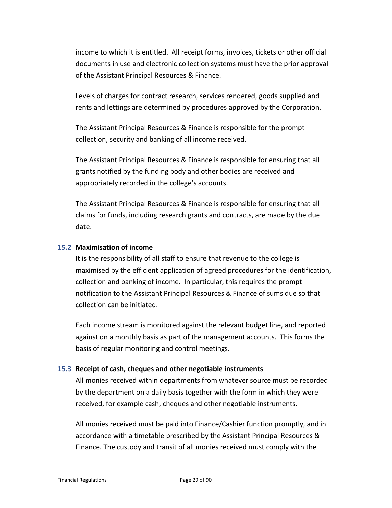income to which it is entitled. All receipt forms, invoices, tickets or other official documents in use and electronic collection systems must have the prior approval of the Assistant Principal Resources & Finance.

Levels of charges for contract research, services rendered, goods supplied and rents and lettings are determined by procedures approved by the Corporation.

The Assistant Principal Resources & Finance is responsible for the prompt collection, security and banking of all income received.

The Assistant Principal Resources & Finance is responsible for ensuring that all grants notified by the funding body and other bodies are received and appropriately recorded in the college's accounts.

The Assistant Principal Resources & Finance is responsible for ensuring that all claims for funds, including research grants and contracts, are made by the due date.

#### **15.2 Maximisation of income**

It is the responsibility of all staff to ensure that revenue to the college is maximised by the efficient application of agreed procedures for the identification, collection and banking of income. In particular, this requires the prompt notification to the Assistant Principal Resources & Finance of sums due so that collection can be initiated.

Each income stream is monitored against the relevant budget line, and reported against on a monthly basis as part of the management accounts. This forms the basis of regular monitoring and control meetings.

#### **15.3 Receipt of cash, cheques and other negotiable instruments**

All monies received within departments from whatever source must be recorded by the department on a daily basis together with the form in which they were received, for example cash, cheques and other negotiable instruments.

All monies received must be paid into Finance/Cashier function promptly, and in accordance with a timetable prescribed by the Assistant Principal Resources & Finance. The custody and transit of all monies received must comply with the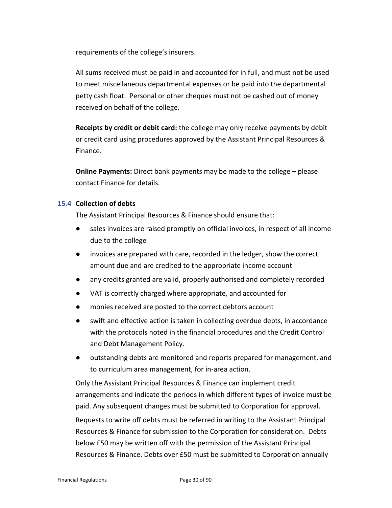requirements of the college's insurers.

All sums received must be paid in and accounted for in full, and must not be used to meet miscellaneous departmental expenses or be paid into the departmental petty cash float. Personal or other cheques must not be cashed out of money received on behalf of the college.

**Receipts by credit or debit card:** the college may only receive payments by debit or credit card using procedures approved by the Assistant Principal Resources & Finance.

**Online Payments:** Direct bank payments may be made to the college – please contact Finance for details.

#### **15.4 Collection of debts**

The Assistant Principal Resources & Finance should ensure that:

- sales invoices are raised promptly on official invoices, in respect of all income due to the college
- invoices are prepared with care, recorded in the ledger, show the correct amount due and are credited to the appropriate income account
- any credits granted are valid, properly authorised and completely recorded
- VAT is correctly charged where appropriate, and accounted for
- monies received are posted to the correct debtors account
- swift and effective action is taken in collecting overdue debts, in accordance with the protocols noted in the financial procedures and the Credit Control and Debt Management Policy.
- outstanding debts are monitored and reports prepared for management, and to curriculum area management, for in-area action.

Only the Assistant Principal Resources & Finance can implement credit arrangements and indicate the periods in which different types of invoice must be paid. Any subsequent changes must be submitted to Corporation for approval.

Requests to write off debts must be referred in writing to the Assistant Principal Resources & Finance for submission to the Corporation for consideration. Debts below £50 may be written off with the permission of the Assistant Principal Resources & Finance. Debts over £50 must be submitted to Corporation annually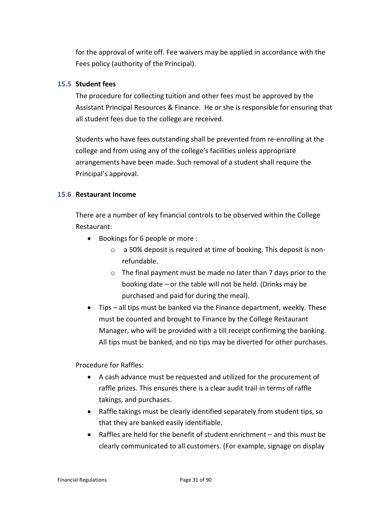for the approval of write off. Fee waivers may be applied in accordance with the Fees policy (authority of the Principal).

#### **15.5 Student fees**

The procedure for collecting tuition and other fees must be approved by the Assistant Principal Resources & Finance. He or she is responsible for ensuring that all student fees due to the college are received.

Students who have fees outstanding shall be prevented from re-enrolling at the college and from using any of the college's facilities unless appropriate arrangements have been made. Such removal of a student shall require the Principal's approval.

#### **15.6 Restaurant Income**

There are a number of key financial controls to be observed within the College Restaurant:

- Bookings for 6 people or more :
	- o a 50% deposit is required at time of booking. This deposit is nonrefundable.
	- o The final payment must be made no later than 7 days prior to the booking date – or the table will not be held. (Drinks may be purchased and paid for during the meal).
- Tips all tips must be banked via the Finance department, weekly. These must be counted and brought to Finance by the College Restaurant Manager, who will be provided with a till receipt confirming the banking. All tips must be banked, and no tips may be diverted for other purchases.

Procedure for Raffles:

- A cash advance must be requested and utilized for the procurement of raffle prizes. This ensures there is a clear audit trail in terms of raffle takings, and purchases.
- Raffle takings must be clearly identified separately from student tips, so that they are banked easily identifiable.
- Raffles are held for the benefit of student enrichment and this must be clearly communicated to all customers. (For example, signage on display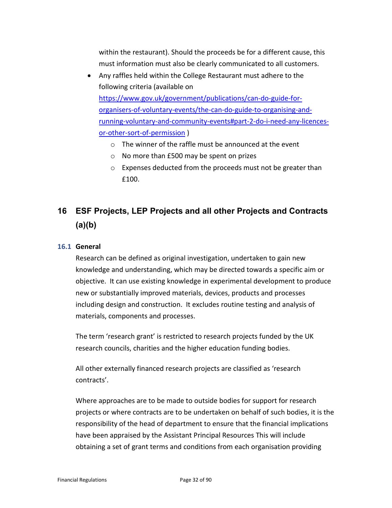within the restaurant). Should the proceeds be for a different cause, this must information must also be clearly communicated to all customers.

- Any raffles held within the College Restaurant must adhere to the following criteria (available on [https://www.gov.uk/government/publications/can-do-guide-for](https://www.gov.uk/government/publications/can-do-guide-for-organisers-of-voluntary-events/the-can-do-guide-to-organising-and-running-voluntary-and-community-events#part-2-do-i-need-any-licences-or-other-sort-of-permission)[organisers-of-voluntary-events/the-can-do-guide-to-organising-and](https://www.gov.uk/government/publications/can-do-guide-for-organisers-of-voluntary-events/the-can-do-guide-to-organising-and-running-voluntary-and-community-events#part-2-do-i-need-any-licences-or-other-sort-of-permission)[running-voluntary-and-community-events#part-2-do-i-need-any-licences](https://www.gov.uk/government/publications/can-do-guide-for-organisers-of-voluntary-events/the-can-do-guide-to-organising-and-running-voluntary-and-community-events#part-2-do-i-need-any-licences-or-other-sort-of-permission)[or-other-sort-of-permission](https://www.gov.uk/government/publications/can-do-guide-for-organisers-of-voluntary-events/the-can-do-guide-to-organising-and-running-voluntary-and-community-events#part-2-do-i-need-any-licences-or-other-sort-of-permission) )
	- o The winner of the raffle must be announced at the event
	- o No more than £500 may be spent on prizes
	- o Expenses deducted from the proceeds must not be greater than £100.

# <span id="page-31-0"></span>**16 ESF Projects, LEP Projects and all other Projects and Contracts (a)(b)**

#### **16.1 General**

Research can be defined as original investigation, undertaken to gain new knowledge and understanding, which may be directed towards a specific aim or objective. It can use existing knowledge in experimental development to produce new or substantially improved materials, devices, products and processes including design and construction. It excludes routine testing and analysis of materials, components and processes.

The term 'research grant' is restricted to research projects funded by the UK research councils, charities and the higher education funding bodies.

All other externally financed research projects are classified as 'research contracts'.

Where approaches are to be made to outside bodies for support for research projects or where contracts are to be undertaken on behalf of such bodies, it is the responsibility of the head of department to ensure that the financial implications have been appraised by the Assistant Principal Resources This will include obtaining a set of grant terms and conditions from each organisation providing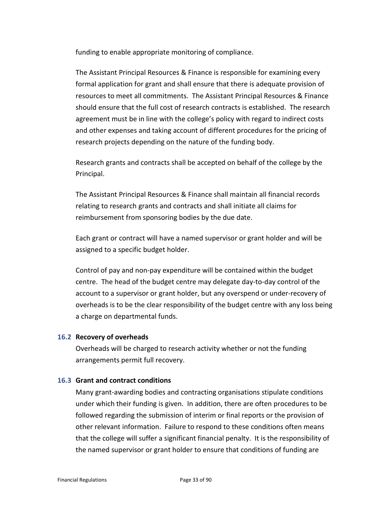funding to enable appropriate monitoring of compliance.

The Assistant Principal Resources & Finance is responsible for examining every formal application for grant and shall ensure that there is adequate provision of resources to meet all commitments. The Assistant Principal Resources & Finance should ensure that the full cost of research contracts is established. The research agreement must be in line with the college's policy with regard to indirect costs and other expenses and taking account of different procedures for the pricing of research projects depending on the nature of the funding body.

Research grants and contracts shall be accepted on behalf of the college by the Principal.

The Assistant Principal Resources & Finance shall maintain all financial records relating to research grants and contracts and shall initiate all claims for reimbursement from sponsoring bodies by the due date.

Each grant or contract will have a named supervisor or grant holder and will be assigned to a specific budget holder.

Control of pay and non-pay expenditure will be contained within the budget centre. The head of the budget centre may delegate day-to-day control of the account to a supervisor or grant holder, but any overspend or under-recovery of overheads is to be the clear responsibility of the budget centre with any loss being a charge on departmental funds.

#### **16.2 Recovery of overheads**

Overheads will be charged to research activity whether or not the funding arrangements permit full recovery.

#### **16.3 Grant and contract conditions**

Many grant-awarding bodies and contracting organisations stipulate conditions under which their funding is given. In addition, there are often procedures to be followed regarding the submission of interim or final reports or the provision of other relevant information. Failure to respond to these conditions often means that the college will suffer a significant financial penalty. It is the responsibility of the named supervisor or grant holder to ensure that conditions of funding are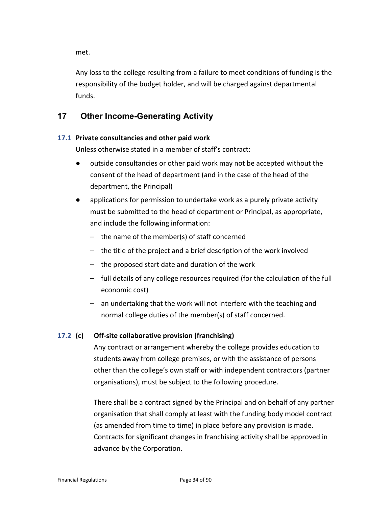met.

Any loss to the college resulting from a failure to meet conditions of funding is the responsibility of the budget holder, and will be charged against departmental funds.

# <span id="page-33-0"></span>**17 Other Income-Generating Activity**

## **17.1 Private consultancies and other paid work**

Unless otherwise stated in a member of staff's contract:

- outside consultancies or other paid work may not be accepted without the consent of the head of department (and in the case of the head of the department, the Principal)
- applications for permission to undertake work as a purely private activity must be submitted to the head of department or Principal, as appropriate, and include the following information:
	- the name of the member(s) of staff concerned
	- the title of the project and a brief description of the work involved
	- the proposed start date and duration of the work
	- full details of any college resources required (for the calculation of the full economic cost)
	- an undertaking that the work will not interfere with the teaching and normal college duties of the member(s) of staff concerned.

#### **17.2 (c) Off-site collaborative provision (franchising)**

Any contract or arrangement whereby the college provides education to students away from college premises, or with the assistance of persons other than the college's own staff or with independent contractors (partner organisations), must be subject to the following procedure.

There shall be a contract signed by the Principal and on behalf of any partner organisation that shall comply at least with the funding body model contract (as amended from time to time) in place before any provision is made. Contracts for significant changes in franchising activity shall be approved in advance by the Corporation.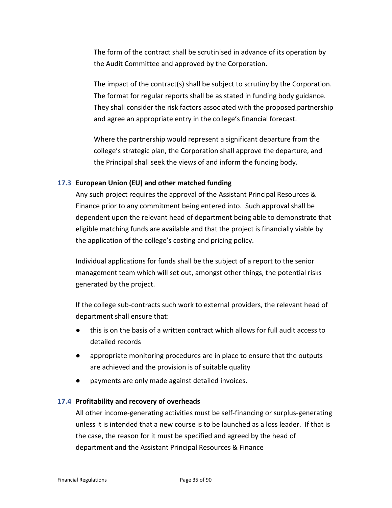The form of the contract shall be scrutinised in advance of its operation by the Audit Committee and approved by the Corporation.

The impact of the contract(s) shall be subject to scrutiny by the Corporation. The format for regular reports shall be as stated in funding body guidance. They shall consider the risk factors associated with the proposed partnership and agree an appropriate entry in the college's financial forecast.

Where the partnership would represent a significant departure from the college's strategic plan, the Corporation shall approve the departure, and the Principal shall seek the views of and inform the funding body.

#### **17.3 European Union (EU) and other matched funding**

Any such project requires the approval of the Assistant Principal Resources & Finance prior to any commitment being entered into. Such approval shall be dependent upon the relevant head of department being able to demonstrate that eligible matching funds are available and that the project is financially viable by the application of the college's costing and pricing policy.

Individual applications for funds shall be the subject of a report to the senior management team which will set out, amongst other things, the potential risks generated by the project.

If the college sub-contracts such work to external providers, the relevant head of department shall ensure that:

- this is on the basis of a written contract which allows for full audit access to detailed records
- appropriate monitoring procedures are in place to ensure that the outputs are achieved and the provision is of suitable quality
- payments are only made against detailed invoices.

#### **17.4 Profitability and recovery of overheads**

All other income-generating activities must be self-financing or surplus-generating unless it is intended that a new course is to be launched as a loss leader. If that is the case, the reason for it must be specified and agreed by the head of department and the Assistant Principal Resources & Finance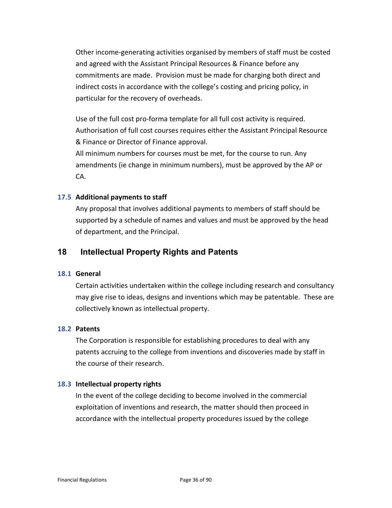Other income-generating activities organised by members of staff must be costed and agreed with the Assistant Principal Resources & Finance before any commitments are made. Provision must be made for charging both direct and indirect costs in accordance with the college's costing and pricing policy, in particular for the recovery of overheads.

Use of the full cost pro-forma template for all full cost activity is required. Authorisation of full cost courses requires either the Assistant Principal Resource & Finance or Director of Finance approval.

All minimum numbers for courses must be met, for the course to run. Any amendments (ie change in minimum numbers), must be approved by the AP or CA.

#### **17.5 Additional payments to staff**

Any proposal that involves additional payments to members of staff should be supported by a schedule of names and values and must be approved by the head of department, and the Principal.

## <span id="page-35-0"></span>**18 Intellectual Property Rights and Patents**

#### **18.1 General**

Certain activities undertaken within the college including research and consultancy may give rise to ideas, designs and inventions which may be patentable. These are collectively known as intellectual property.

#### **18.2 Patents**

The Corporation is responsible for establishing procedures to deal with any patents accruing to the college from inventions and discoveries made by staff in the course of their research.

#### **18.3 Intellectual property rights**

In the event of the college deciding to become involved in the commercial exploitation of inventions and research, the matter should then proceed in accordance with the intellectual property procedures issued by the college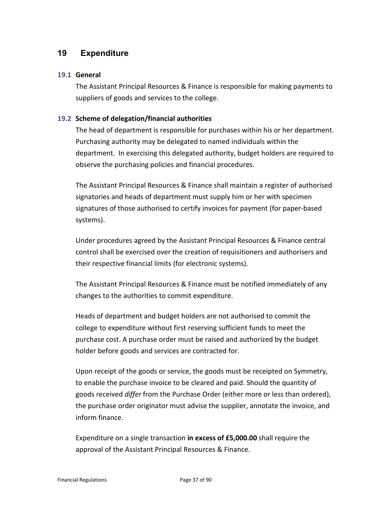# **19 Expenditure**

### **19.1 General**

The Assistant Principal Resources & Finance is responsible for making payments to suppliers of goods and services to the college.

# **19.2 Scheme of delegation/financial authorities**

The head of department is responsible for purchases within his or her department. Purchasing authority may be delegated to named individuals within the department. In exercising this delegated authority, budget holders are required to observe the purchasing policies and financial procedures.

The Assistant Principal Resources & Finance shall maintain a register of authorised signatories and heads of department must supply him or her with specimen signatures of those authorised to certify invoices for payment (for paper-based systems).

Under procedures agreed by the Assistant Principal Resources & Finance central control shall be exercised over the creation of requisitioners and authorisers and their respective financial limits (for electronic systems).

The Assistant Principal Resources & Finance must be notified immediately of any changes to the authorities to commit expenditure.

Heads of department and budget holders are not authorised to commit the college to expenditure without first reserving sufficient funds to meet the purchase cost. A purchase order must be raised and authorized by the budget holder before goods and services are contracted for.

Upon receipt of the goods or service, the goods must be receipted on Symmetry, to enable the purchase invoice to be cleared and paid. Should the quantity of goods received *differ* from the Purchase Order (either more or less than ordered), the purchase order originator must advise the supplier, annotate the invoice, and inform finance.

Expenditure on a single transaction **in excess of £5,000.00** shall require the approval of the Assistant Principal Resources & Finance.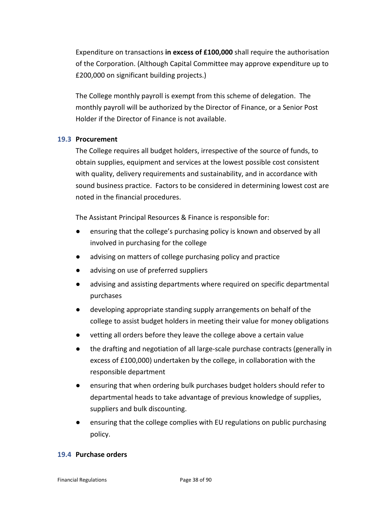Expenditure on transactions **in excess of £100,000** shall require the authorisation of the Corporation. (Although Capital Committee may approve expenditure up to £200,000 on significant building projects.)

The College monthly payroll is exempt from this scheme of delegation. The monthly payroll will be authorized by the Director of Finance, or a Senior Post Holder if the Director of Finance is not available.

### **19.3 Procurement**

The College requires all budget holders, irrespective of the source of funds, to obtain supplies, equipment and services at the lowest possible cost consistent with quality, delivery requirements and sustainability, and in accordance with sound business practice. Factors to be considered in determining lowest cost are noted in the financial procedures.

The Assistant Principal Resources & Finance is responsible for:

- ensuring that the college's purchasing policy is known and observed by all involved in purchasing for the college
- advising on matters of college purchasing policy and practice
- advising on use of preferred suppliers
- advising and assisting departments where required on specific departmental purchases
- developing appropriate standing supply arrangements on behalf of the college to assist budget holders in meeting their value for money obligations
- vetting all orders before they leave the college above a certain value
- the drafting and negotiation of all large-scale purchase contracts (generally in excess of £100,000) undertaken by the college, in collaboration with the responsible department
- ensuring that when ordering bulk purchases budget holders should refer to departmental heads to take advantage of previous knowledge of supplies, suppliers and bulk discounting.
- ensuring that the college complies with EU regulations on public purchasing policy.

### **19.4 Purchase orders**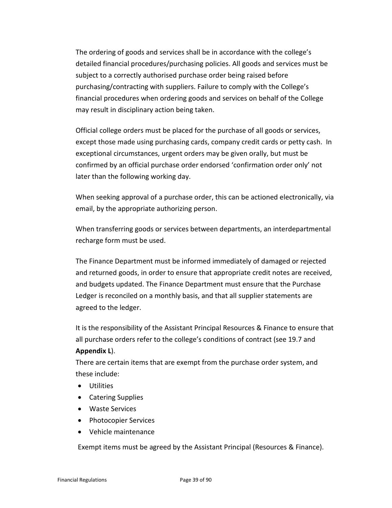The ordering of goods and services shall be in accordance with the college's detailed financial procedures/purchasing policies. All goods and services must be subject to a correctly authorised purchase order being raised before purchasing/contracting with suppliers. Failure to comply with the College's financial procedures when ordering goods and services on behalf of the College may result in disciplinary action being taken.

Official college orders must be placed for the purchase of all goods or services, except those made using purchasing cards, company credit cards or petty cash. In exceptional circumstances, urgent orders may be given orally, but must be confirmed by an official purchase order endorsed 'confirmation order only' not later than the following working day.

When seeking approval of a purchase order, this can be actioned electronically, via email, by the appropriate authorizing person.

When transferring goods or services between departments, an interdepartmental recharge form must be used.

The Finance Department must be informed immediately of damaged or rejected and returned goods, in order to ensure that appropriate credit notes are received, and budgets updated. The Finance Department must ensure that the Purchase Ledger is reconciled on a monthly basis, and that all supplier statements are agreed to the ledger.

It is the responsibility of the Assistant Principal Resources & Finance to ensure that all purchase orders refer to the college's conditions of contract (see 19.7 and **Appendix L**).

There are certain items that are exempt from the purchase order system, and these include:

- Utilities
- Catering Supplies
- Waste Services
- Photocopier Services
- Vehicle maintenance

Exempt items must be agreed by the Assistant Principal (Resources & Finance).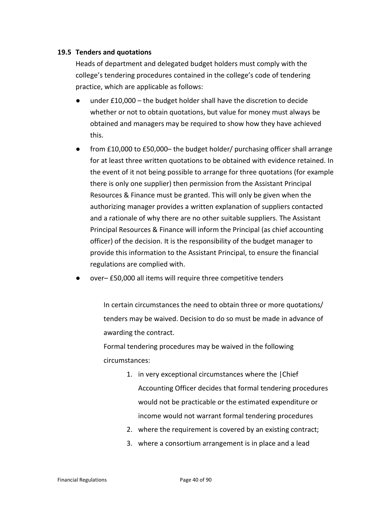### **19.5 Tenders and quotations**

Heads of department and delegated budget holders must comply with the college's tendering procedures contained in the college's code of tendering practice, which are applicable as follows:

- under  $£10,000 -$  the budget holder shall have the discretion to decide whether or not to obtain quotations, but value for money must always be obtained and managers may be required to show how they have achieved this.
- from  $£10,000$  to  $£50,000$  the budget holder/ purchasing officer shall arrange for at least three written quotations to be obtained with evidence retained. In the event of it not being possible to arrange for three quotations (for example there is only one supplier) then permission from the Assistant Principal Resources & Finance must be granted. This will only be given when the authorizing manager provides a written explanation of suppliers contacted and a rationale of why there are no other suitable suppliers. The Assistant Principal Resources & Finance will inform the Principal (as chief accounting officer) of the decision. It is the responsibility of the budget manager to provide this information to the Assistant Principal, to ensure the financial regulations are complied with.
- over– £50,000 all items will require three competitive tenders

In certain circumstances the need to obtain three or more quotations/ tenders may be waived. Decision to do so must be made in advance of awarding the contract.

Formal tendering procedures may be waived in the following circumstances:

- 1. in very exceptional circumstances where the |Chief Accounting Officer decides that formal tendering procedures would not be practicable or the estimated expenditure or income would not warrant formal tendering procedures
- 2. where the requirement is covered by an existing contract;
- 3. where a consortium arrangement is in place and a lead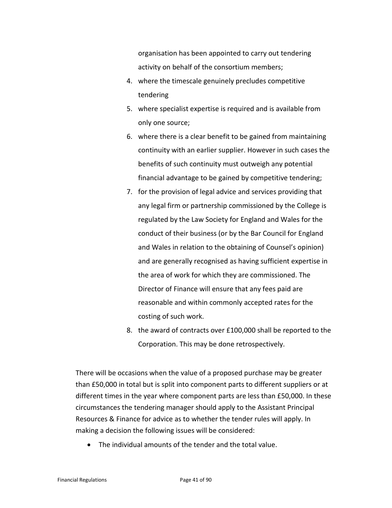organisation has been appointed to carry out tendering activity on behalf of the consortium members;

- 4. where the timescale genuinely precludes competitive tendering
- 5. where specialist expertise is required and is available from only one source;
- 6. where there is a clear benefit to be gained from maintaining continuity with an earlier supplier. However in such cases the benefits of such continuity must outweigh any potential financial advantage to be gained by competitive tendering;
- 7. for the provision of legal advice and services providing that any legal firm or partnership commissioned by the College is regulated by the Law Society for England and Wales for the conduct of their business (or by the Bar Council for England and Wales in relation to the obtaining of Counsel's opinion) and are generally recognised as having sufficient expertise in the area of work for which they are commissioned. The Director of Finance will ensure that any fees paid are reasonable and within commonly accepted rates for the costing of such work.
- 8. the award of contracts over £100,000 shall be reported to the Corporation. This may be done retrospectively.

There will be occasions when the value of a proposed purchase may be greater than £50,000 in total but is split into component parts to different suppliers or at different times in the year where component parts are less than £50,000. In these circumstances the tendering manager should apply to the Assistant Principal Resources & Finance for advice as to whether the tender rules will apply. In making a decision the following issues will be considered:

• The individual amounts of the tender and the total value.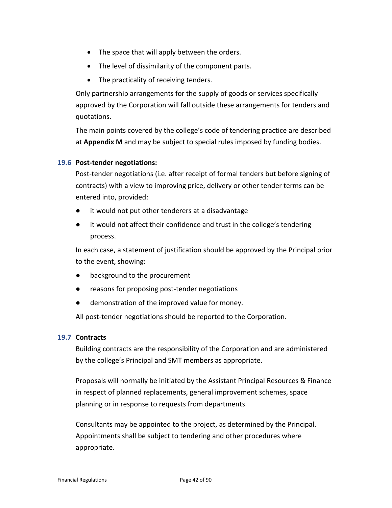- The space that will apply between the orders.
- The level of dissimilarity of the component parts.
- The practicality of receiving tenders.

Only partnership arrangements for the supply of goods or services specifically approved by the Corporation will fall outside these arrangements for tenders and quotations.

The main points covered by the college's code of tendering practice are described at **Appendix M** and may be subject to special rules imposed by funding bodies.

# **19.6 Post-tender negotiations:**

Post-tender negotiations (i.e. after receipt of formal tenders but before signing of contracts) with a view to improving price, delivery or other tender terms can be entered into, provided:

- it would not put other tenderers at a disadvantage
- it would not affect their confidence and trust in the college's tendering process.

In each case, a statement of justification should be approved by the Principal prior to the event, showing:

- background to the procurement
- reasons for proposing post-tender negotiations
- demonstration of the improved value for money.

All post-tender negotiations should be reported to the Corporation.

# **19.7 Contracts**

Building contracts are the responsibility of the Corporation and are administered by the college's Principal and SMT members as appropriate.

Proposals will normally be initiated by the Assistant Principal Resources & Finance in respect of planned replacements, general improvement schemes, space planning or in response to requests from departments.

Consultants may be appointed to the project, as determined by the Principal. Appointments shall be subject to tendering and other procedures where appropriate.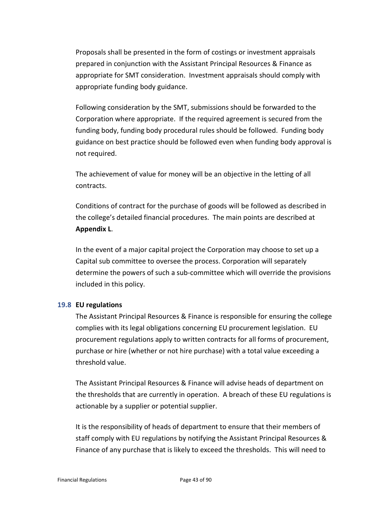Proposals shall be presented in the form of costings or investment appraisals prepared in conjunction with the Assistant Principal Resources & Finance as appropriate for SMT consideration. Investment appraisals should comply with appropriate funding body guidance.

Following consideration by the SMT, submissions should be forwarded to the Corporation where appropriate. If the required agreement is secured from the funding body, funding body procedural rules should be followed. Funding body guidance on best practice should be followed even when funding body approval is not required.

The achievement of value for money will be an objective in the letting of all contracts.

Conditions of contract for the purchase of goods will be followed as described in the college's detailed financial procedures. The main points are described at **Appendix L**.

In the event of a major capital project the Corporation may choose to set up a Capital sub committee to oversee the process. Corporation will separately determine the powers of such a sub-committee which will override the provisions included in this policy.

### **19.8 EU regulations**

The Assistant Principal Resources & Finance is responsible for ensuring the college complies with its legal obligations concerning EU procurement legislation. EU procurement regulations apply to written contracts for all forms of procurement, purchase or hire (whether or not hire purchase) with a total value exceeding a threshold value.

The Assistant Principal Resources & Finance will advise heads of department on the thresholds that are currently in operation. A breach of these EU regulations is actionable by a supplier or potential supplier.

It is the responsibility of heads of department to ensure that their members of staff comply with EU regulations by notifying the Assistant Principal Resources & Finance of any purchase that is likely to exceed the thresholds. This will need to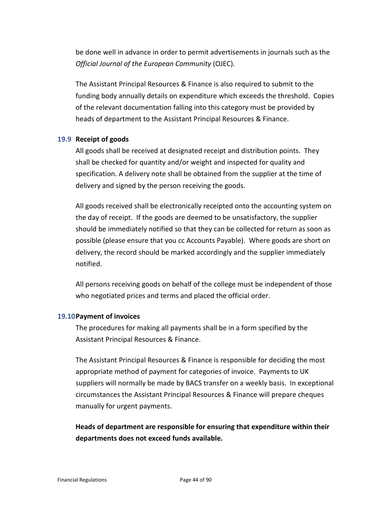be done well in advance in order to permit advertisements in journals such as the *Official Journal of the European Community* (OJEC).

The Assistant Principal Resources & Finance is also required to submit to the funding body annually details on expenditure which exceeds the threshold. Copies of the relevant documentation falling into this category must be provided by heads of department to the Assistant Principal Resources & Finance.

# **19.9 Receipt of goods**

All goods shall be received at designated receipt and distribution points. They shall be checked for quantity and/or weight and inspected for quality and specification. A delivery note shall be obtained from the supplier at the time of delivery and signed by the person receiving the goods.

All goods received shall be electronically receipted onto the accounting system on the day of receipt. If the goods are deemed to be unsatisfactory, the supplier should be immediately notified so that they can be collected for return as soon as possible (please ensure that you cc Accounts Payable). Where goods are short on delivery, the record should be marked accordingly and the supplier immediately notified.

All persons receiving goods on behalf of the college must be independent of those who negotiated prices and terms and placed the official order.

#### **19.10Payment of invoices**

The procedures for making all payments shall be in a form specified by the Assistant Principal Resources & Finance.

The Assistant Principal Resources & Finance is responsible for deciding the most appropriate method of payment for categories of invoice. Payments to UK suppliers will normally be made by BACS transfer on a weekly basis. In exceptional circumstances the Assistant Principal Resources & Finance will prepare cheques manually for urgent payments.

**Heads of department are responsible for ensuring that expenditure within their departments does not exceed funds available.**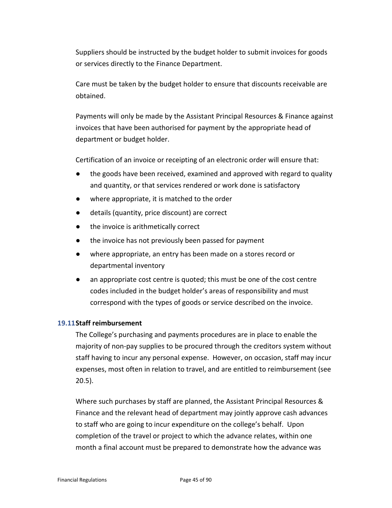Suppliers should be instructed by the budget holder to submit invoices for goods or services directly to the Finance Department.

Care must be taken by the budget holder to ensure that discounts receivable are obtained.

Payments will only be made by the Assistant Principal Resources & Finance against invoices that have been authorised for payment by the appropriate head of department or budget holder.

Certification of an invoice or receipting of an electronic order will ensure that:

- the goods have been received, examined and approved with regard to quality and quantity, or that services rendered or work done is satisfactory
- where appropriate, it is matched to the order
- details (quantity, price discount) are correct
- the invoice is arithmetically correct
- the invoice has not previously been passed for payment
- where appropriate, an entry has been made on a stores record or departmental inventory
- an appropriate cost centre is quoted; this must be one of the cost centre codes included in the budget holder's areas of responsibility and must correspond with the types of goods or service described on the invoice.

### **19.11Staff reimbursement**

The College's purchasing and payments procedures are in place to enable the majority of non-pay supplies to be procured through the creditors system without staff having to incur any personal expense. However, on occasion, staff may incur expenses, most often in relation to travel, and are entitled to reimbursement (see 20.5).

Where such purchases by staff are planned, the Assistant Principal Resources & Finance and the relevant head of department may jointly approve cash advances to staff who are going to incur expenditure on the college's behalf. Upon completion of the travel or project to which the advance relates, within one month a final account must be prepared to demonstrate how the advance was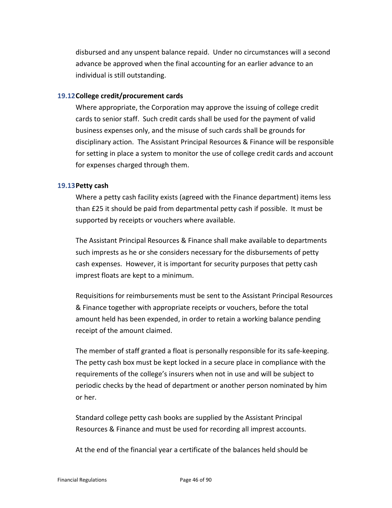disbursed and any unspent balance repaid. Under no circumstances will a second advance be approved when the final accounting for an earlier advance to an individual is still outstanding.

### **19.12College credit/procurement cards**

Where appropriate, the Corporation may approve the issuing of college credit cards to senior staff. Such credit cards shall be used for the payment of valid business expenses only, and the misuse of such cards shall be grounds for disciplinary action. The Assistant Principal Resources & Finance will be responsible for setting in place a system to monitor the use of college credit cards and account for expenses charged through them.

#### **19.13Petty cash**

Where a petty cash facility exists (agreed with the Finance department) items less than £25 it should be paid from departmental petty cash if possible. It must be supported by receipts or vouchers where available.

The Assistant Principal Resources & Finance shall make available to departments such imprests as he or she considers necessary for the disbursements of petty cash expenses. However, it is important for security purposes that petty cash imprest floats are kept to a minimum.

Requisitions for reimbursements must be sent to the Assistant Principal Resources & Finance together with appropriate receipts or vouchers, before the total amount held has been expended, in order to retain a working balance pending receipt of the amount claimed.

The member of staff granted a float is personally responsible for its safe-keeping. The petty cash box must be kept locked in a secure place in compliance with the requirements of the college's insurers when not in use and will be subject to periodic checks by the head of department or another person nominated by him or her.

Standard college petty cash books are supplied by the Assistant Principal Resources & Finance and must be used for recording all imprest accounts.

At the end of the financial year a certificate of the balances held should be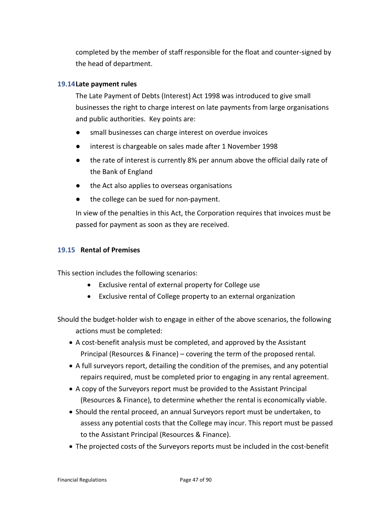completed by the member of staff responsible for the float and counter-signed by the head of department.

### **19.14Late payment rules**

The Late Payment of Debts (Interest) Act 1998 was introduced to give small businesses the right to charge interest on late payments from large organisations and public authorities. Key points are:

- small businesses can charge interest on overdue invoices
- interest is chargeable on sales made after 1 November 1998
- the rate of interest is currently 8% per annum above the official daily rate of the Bank of England
- the Act also applies to overseas organisations
- the college can be sued for non-payment.

In view of the penalties in this Act, the Corporation requires that invoices must be passed for payment as soon as they are received.

### **19.15 Rental of Premises**

This section includes the following scenarios:

- Exclusive rental of external property for College use
- Exclusive rental of College property to an external organization

Should the budget-holder wish to engage in either of the above scenarios, the following actions must be completed:

- A cost-benefit analysis must be completed, and approved by the Assistant Principal (Resources & Finance) – covering the term of the proposed rental.
- A full surveyors report, detailing the condition of the premises, and any potential repairs required, must be completed prior to engaging in any rental agreement.
- A copy of the Surveyors report must be provided to the Assistant Principal (Resources & Finance), to determine whether the rental is economically viable.
- Should the rental proceed, an annual Surveyors report must be undertaken, to assess any potential costs that the College may incur. This report must be passed to the Assistant Principal (Resources & Finance).
- The projected costs of the Surveyors reports must be included in the cost-benefit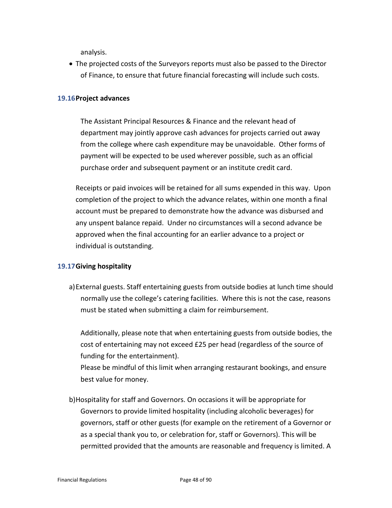analysis.

• The projected costs of the Surveyors reports must also be passed to the Director of Finance, to ensure that future financial forecasting will include such costs.

### **19.16Project advances**

The Assistant Principal Resources & Finance and the relevant head of department may jointly approve cash advances for projects carried out away from the college where cash expenditure may be unavoidable. Other forms of payment will be expected to be used wherever possible, such as an official purchase order and subsequent payment or an institute credit card.

Receipts or paid invoices will be retained for all sums expended in this way. Upon completion of the project to which the advance relates, within one month a final account must be prepared to demonstrate how the advance was disbursed and any unspent balance repaid. Under no circumstances will a second advance be approved when the final accounting for an earlier advance to a project or individual is outstanding.

### **19.17Giving hospitality**

a)External guests. Staff entertaining guests from outside bodies at lunch time should normally use the college's catering facilities. Where this is not the case, reasons must be stated when submitting a claim for reimbursement.

Additionally, please note that when entertaining guests from outside bodies, the cost of entertaining may not exceed £25 per head (regardless of the source of funding for the entertainment).

Please be mindful of this limit when arranging restaurant bookings, and ensure best value for money.

b)Hospitality for staff and Governors. On occasions it will be appropriate for Governors to provide limited hospitality (including alcoholic beverages) for governors, staff or other guests (for example on the retirement of a Governor or as a special thank you to, or celebration for, staff or Governors). This will be permitted provided that the amounts are reasonable and frequency is limited. A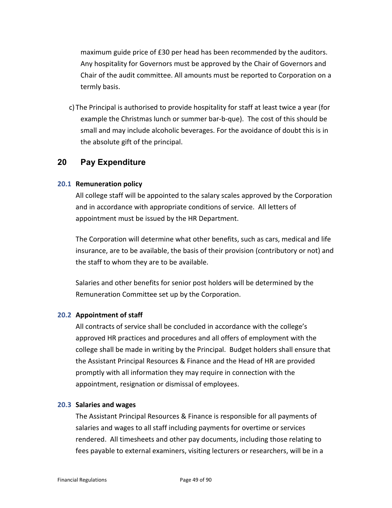maximum guide price of £30 per head has been recommended by the auditors. Any hospitality for Governors must be approved by the Chair of Governors and Chair of the audit committee. All amounts must be reported to Corporation on a termly basis.

c) The Principal is authorised to provide hospitality for staff at least twice a year (for example the Christmas lunch or summer bar-b-que). The cost of this should be small and may include alcoholic beverages. For the avoidance of doubt this is in the absolute gift of the principal.

# **20 Pay Expenditure**

#### **20.1 Remuneration policy**

All college staff will be appointed to the salary scales approved by the Corporation and in accordance with appropriate conditions of service. All letters of appointment must be issued by the HR Department.

The Corporation will determine what other benefits, such as cars, medical and life insurance, are to be available, the basis of their provision (contributory or not) and the staff to whom they are to be available.

Salaries and other benefits for senior post holders will be determined by the Remuneration Committee set up by the Corporation.

#### **20.2 Appointment of staff**

All contracts of service shall be concluded in accordance with the college's approved HR practices and procedures and all offers of employment with the college shall be made in writing by the Principal. Budget holders shall ensure that the Assistant Principal Resources & Finance and the Head of HR are provided promptly with all information they may require in connection with the appointment, resignation or dismissal of employees.

#### **20.3 Salaries and wages**

The Assistant Principal Resources & Finance is responsible for all payments of salaries and wages to all staff including payments for overtime or services rendered. All timesheets and other pay documents, including those relating to fees payable to external examiners, visiting lecturers or researchers, will be in a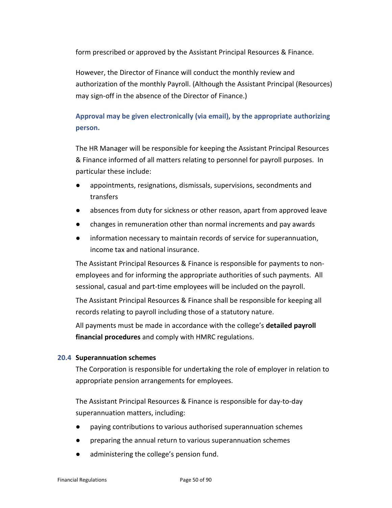form prescribed or approved by the Assistant Principal Resources & Finance.

However, the Director of Finance will conduct the monthly review and authorization of the monthly Payroll. (Although the Assistant Principal (Resources) may sign-off in the absence of the Director of Finance.)

# **Approval may be given electronically (via email), by the appropriate authorizing person.**

The HR Manager will be responsible for keeping the Assistant Principal Resources & Finance informed of all matters relating to personnel for payroll purposes. In particular these include:

- appointments, resignations, dismissals, supervisions, secondments and transfers
- absences from duty for sickness or other reason, apart from approved leave
- changes in remuneration other than normal increments and pay awards
- information necessary to maintain records of service for superannuation, income tax and national insurance.

The Assistant Principal Resources & Finance is responsible for payments to nonemployees and for informing the appropriate authorities of such payments. All sessional, casual and part-time employees will be included on the payroll.

The Assistant Principal Resources & Finance shall be responsible for keeping all records relating to payroll including those of a statutory nature.

All payments must be made in accordance with the college's **detailed payroll financial procedures** and comply with HMRC regulations.

# **20.4 Superannuation schemes**

The Corporation is responsible for undertaking the role of employer in relation to appropriate pension arrangements for employees.

The Assistant Principal Resources & Finance is responsible for day-to-day superannuation matters, including:

- paying contributions to various authorised superannuation schemes
- preparing the annual return to various superannuation schemes
- administering the college's pension fund.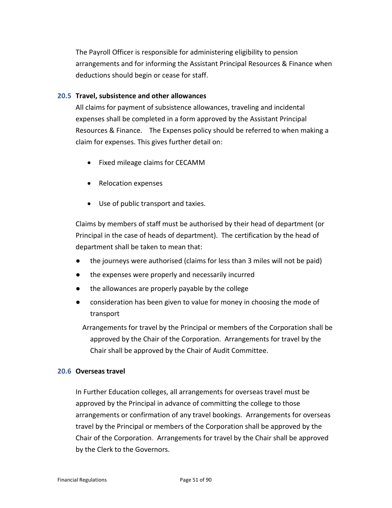The Payroll Officer is responsible for administering eligibility to pension arrangements and for informing the Assistant Principal Resources & Finance when deductions should begin or cease for staff.

### **20.5 Travel, subsistence and other allowances**

All claims for payment of subsistence allowances, traveling and incidental expenses shall be completed in a form approved by the Assistant Principal Resources & Finance. The Expenses policy should be referred to when making a claim for expenses. This gives further detail on:

- Fixed mileage claims for CECAMM
- Relocation expenses
- Use of public transport and taxies.

Claims by members of staff must be authorised by their head of department (or Principal in the case of heads of department). The certification by the head of department shall be taken to mean that:

- the journeys were authorised (claims for less than 3 miles will not be paid)
- the expenses were properly and necessarily incurred
- the allowances are properly payable by the college
- consideration has been given to value for money in choosing the mode of transport

Arrangements for travel by the Principal or members of the Corporation shall be approved by the Chair of the Corporation. Arrangements for travel by the Chair shall be approved by the Chair of Audit Committee.

### **20.6 Overseas travel**

In Further Education colleges, all arrangements for overseas travel must be approved by the Principal in advance of committing the college to those arrangements or confirmation of any travel bookings. Arrangements for overseas travel by the Principal or members of the Corporation shall be approved by the Chair of the Corporation. Arrangements for travel by the Chair shall be approved by the Clerk to the Governors.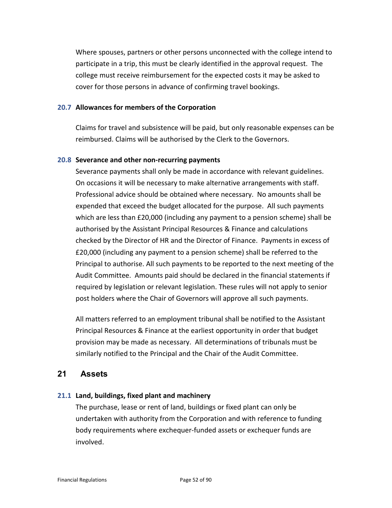Where spouses, partners or other persons unconnected with the college intend to participate in a trip, this must be clearly identified in the approval request. The college must receive reimbursement for the expected costs it may be asked to cover for those persons in advance of confirming travel bookings.

### **20.7 Allowances for members of the Corporation**

Claims for travel and subsistence will be paid, but only reasonable expenses can be reimbursed. Claims will be authorised by the Clerk to the Governors.

#### **20.8 Severance and other non-recurring payments**

Severance payments shall only be made in accordance with relevant guidelines. On occasions it will be necessary to make alternative arrangements with staff. Professional advice should be obtained where necessary. No amounts shall be expended that exceed the budget allocated for the purpose. All such payments which are less than £20,000 (including any payment to a pension scheme) shall be authorised by the Assistant Principal Resources & Finance and calculations checked by the Director of HR and the Director of Finance. Payments in excess of £20,000 (including any payment to a pension scheme) shall be referred to the Principal to authorise. All such payments to be reported to the next meeting of the Audit Committee. Amounts paid should be declared in the financial statements if required by legislation or relevant legislation. These rules will not apply to senior post holders where the Chair of Governors will approve all such payments.

All matters referred to an employment tribunal shall be notified to the Assistant Principal Resources & Finance at the earliest opportunity in order that budget provision may be made as necessary. All determinations of tribunals must be similarly notified to the Principal and the Chair of the Audit Committee.

# **21 Assets**

### **21.1 Land, buildings, fixed plant and machinery**

The purchase, lease or rent of land, buildings or fixed plant can only be undertaken with authority from the Corporation and with reference to funding body requirements where exchequer-funded assets or exchequer funds are involved.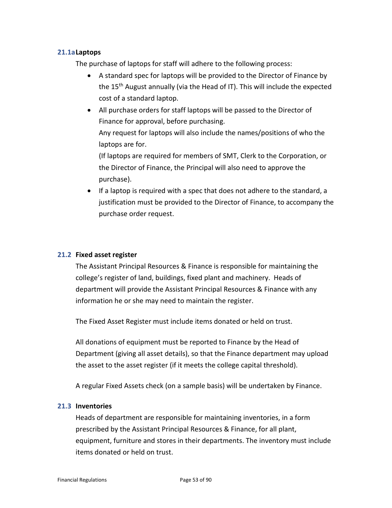# **21.1aLaptops**

The purchase of laptops for staff will adhere to the following process:

- A standard spec for laptops will be provided to the Director of Finance by the 15th August annually (via the Head of IT). This will include the expected cost of a standard laptop.
- All purchase orders for staff laptops will be passed to the Director of Finance for approval, before purchasing. Any request for laptops will also include the names/positions of who the
	- laptops are for.

(If laptops are required for members of SMT, Clerk to the Corporation, or the Director of Finance, the Principal will also need to approve the purchase).

• If a laptop is required with a spec that does not adhere to the standard, a justification must be provided to the Director of Finance, to accompany the purchase order request.

# **21.2 Fixed asset register**

The Assistant Principal Resources & Finance is responsible for maintaining the college's register of land, buildings, fixed plant and machinery. Heads of department will provide the Assistant Principal Resources & Finance with any information he or she may need to maintain the register.

The Fixed Asset Register must include items donated or held on trust.

All donations of equipment must be reported to Finance by the Head of Department (giving all asset details), so that the Finance department may upload the asset to the asset register (if it meets the college capital threshold).

A regular Fixed Assets check (on a sample basis) will be undertaken by Finance.

### **21.3 Inventories**

Heads of department are responsible for maintaining inventories, in a form prescribed by the Assistant Principal Resources & Finance, for all plant, equipment, furniture and stores in their departments. The inventory must include items donated or held on trust.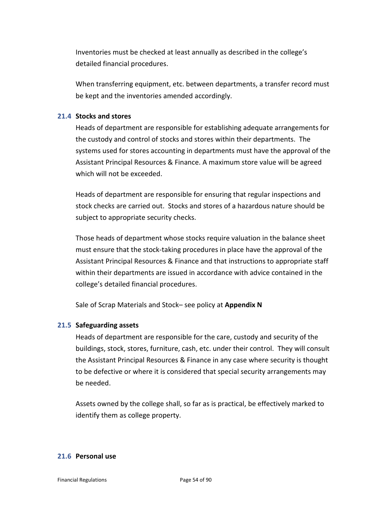Inventories must be checked at least annually as described in the college's detailed financial procedures.

When transferring equipment, etc. between departments, a transfer record must be kept and the inventories amended accordingly.

# **21.4 Stocks and stores**

Heads of department are responsible for establishing adequate arrangements for the custody and control of stocks and stores within their departments. The systems used for stores accounting in departments must have the approval of the Assistant Principal Resources & Finance. A maximum store value will be agreed which will not be exceeded.

Heads of department are responsible for ensuring that regular inspections and stock checks are carried out. Stocks and stores of a hazardous nature should be subject to appropriate security checks.

Those heads of department whose stocks require valuation in the balance sheet must ensure that the stock-taking procedures in place have the approval of the Assistant Principal Resources & Finance and that instructions to appropriate staff within their departments are issued in accordance with advice contained in the college's detailed financial procedures.

Sale of Scrap Materials and Stock– see policy at **Appendix N**

#### **21.5 Safeguarding assets**

Heads of department are responsible for the care, custody and security of the buildings, stock, stores, furniture, cash, etc. under their control. They will consult the Assistant Principal Resources & Finance in any case where security is thought to be defective or where it is considered that special security arrangements may be needed.

Assets owned by the college shall, so far as is practical, be effectively marked to identify them as college property.

# **21.6 Personal use**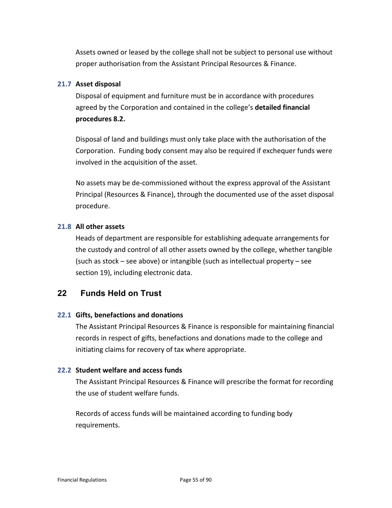Assets owned or leased by the college shall not be subject to personal use without proper authorisation from the Assistant Principal Resources & Finance.

# **21.7 Asset disposal**

Disposal of equipment and furniture must be in accordance with procedures agreed by the Corporation and contained in the college's **detailed financial procedures 8.2.**

Disposal of land and buildings must only take place with the authorisation of the Corporation. Funding body consent may also be required if exchequer funds were involved in the acquisition of the asset.

No assets may be de-commissioned without the express approval of the Assistant Principal (Resources & Finance), through the documented use of the asset disposal procedure.

# **21.8 All other assets**

Heads of department are responsible for establishing adequate arrangements for the custody and control of all other assets owned by the college, whether tangible (such as stock – see above) or intangible (such as intellectual property – see section 19), including electronic data.

# **22 Funds Held on Trust**

# **22.1 Gifts, benefactions and donations**

The Assistant Principal Resources & Finance is responsible for maintaining financial records in respect of gifts, benefactions and donations made to the college and initiating claims for recovery of tax where appropriate.

# **22.2 Student welfare and access funds**

The Assistant Principal Resources & Finance will prescribe the format for recording the use of student welfare funds.

Records of access funds will be maintained according to funding body requirements.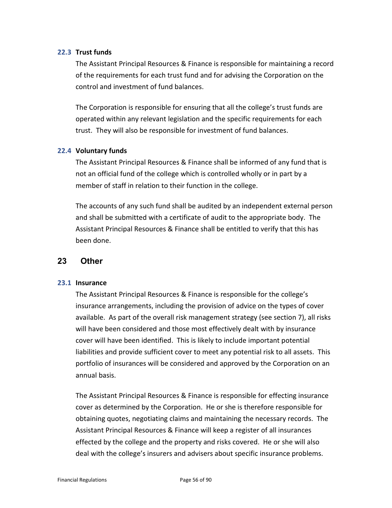# **22.3 Trust funds**

The Assistant Principal Resources & Finance is responsible for maintaining a record of the requirements for each trust fund and for advising the Corporation on the control and investment of fund balances.

The Corporation is responsible for ensuring that all the college's trust funds are operated within any relevant legislation and the specific requirements for each trust. They will also be responsible for investment of fund balances.

# **22.4 Voluntary funds**

The Assistant Principal Resources & Finance shall be informed of any fund that is not an official fund of the college which is controlled wholly or in part by a member of staff in relation to their function in the college.

The accounts of any such fund shall be audited by an independent external person and shall be submitted with a certificate of audit to the appropriate body. The Assistant Principal Resources & Finance shall be entitled to verify that this has been done.

# **23 Other**

### **23.1 Insurance**

The Assistant Principal Resources & Finance is responsible for the college's insurance arrangements, including the provision of advice on the types of cover available. As part of the overall risk management strategy (see section 7), all risks will have been considered and those most effectively dealt with by insurance cover will have been identified. This is likely to include important potential liabilities and provide sufficient cover to meet any potential risk to all assets. This portfolio of insurances will be considered and approved by the Corporation on an annual basis.

The Assistant Principal Resources & Finance is responsible for effecting insurance cover as determined by the Corporation. He or she is therefore responsible for obtaining quotes, negotiating claims and maintaining the necessary records. The Assistant Principal Resources & Finance will keep a register of all insurances effected by the college and the property and risks covered. He or she will also deal with the college's insurers and advisers about specific insurance problems.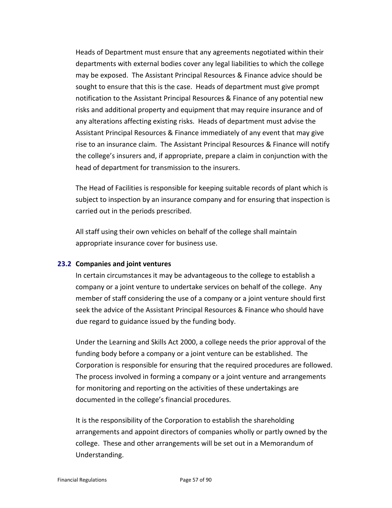Heads of Department must ensure that any agreements negotiated within their departments with external bodies cover any legal liabilities to which the college may be exposed. The Assistant Principal Resources & Finance advice should be sought to ensure that this is the case. Heads of department must give prompt notification to the Assistant Principal Resources & Finance of any potential new risks and additional property and equipment that may require insurance and of any alterations affecting existing risks. Heads of department must advise the Assistant Principal Resources & Finance immediately of any event that may give rise to an insurance claim. The Assistant Principal Resources & Finance will notify the college's insurers and, if appropriate, prepare a claim in conjunction with the head of department for transmission to the insurers.

The Head of Facilities is responsible for keeping suitable records of plant which is subject to inspection by an insurance company and for ensuring that inspection is carried out in the periods prescribed.

All staff using their own vehicles on behalf of the college shall maintain appropriate insurance cover for business use.

### **23.2 Companies and joint ventures**

In certain circumstances it may be advantageous to the college to establish a company or a joint venture to undertake services on behalf of the college. Any member of staff considering the use of a company or a joint venture should first seek the advice of the Assistant Principal Resources & Finance who should have due regard to guidance issued by the funding body.

Under the Learning and Skills Act 2000, a college needs the prior approval of the funding body before a company or a joint venture can be established. The Corporation is responsible for ensuring that the required procedures are followed. The process involved in forming a company or a joint venture and arrangements for monitoring and reporting on the activities of these undertakings are documented in the college's financial procedures.

It is the responsibility of the Corporation to establish the shareholding arrangements and appoint directors of companies wholly or partly owned by the college. These and other arrangements will be set out in a Memorandum of Understanding.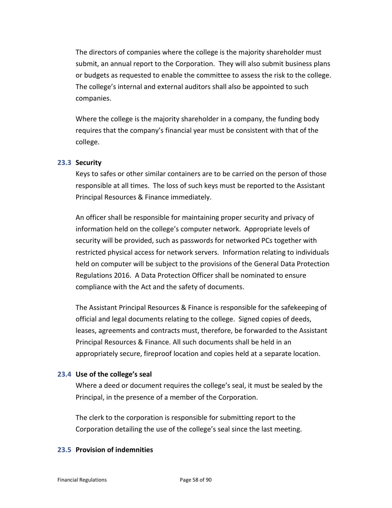The directors of companies where the college is the majority shareholder must submit, an annual report to the Corporation. They will also submit business plans or budgets as requested to enable the committee to assess the risk to the college. The college's internal and external auditors shall also be appointed to such companies.

Where the college is the majority shareholder in a company, the funding body requires that the company's financial year must be consistent with that of the college.

### **23.3 Security**

Keys to safes or other similar containers are to be carried on the person of those responsible at all times. The loss of such keys must be reported to the Assistant Principal Resources & Finance immediately.

An officer shall be responsible for maintaining proper security and privacy of information held on the college's computer network. Appropriate levels of security will be provided, such as passwords for networked PCs together with restricted physical access for network servers. Information relating to individuals held on computer will be subject to the provisions of the General Data Protection Regulations 2016. A Data Protection Officer shall be nominated to ensure compliance with the Act and the safety of documents.

The Assistant Principal Resources & Finance is responsible for the safekeeping of official and legal documents relating to the college. Signed copies of deeds, leases, agreements and contracts must, therefore, be forwarded to the Assistant Principal Resources & Finance. All such documents shall be held in an appropriately secure, fireproof location and copies held at a separate location.

## **23.4 Use of the college's seal**

Where a deed or document requires the college's seal, it must be sealed by the Principal, in the presence of a member of the Corporation.

The clerk to the corporation is responsible for submitting report to the Corporation detailing the use of the college's seal since the last meeting.

# **23.5 Provision of indemnities**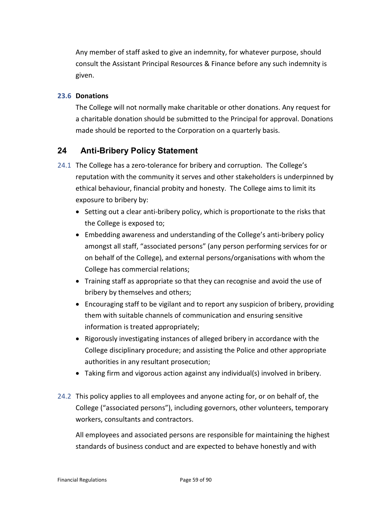Any member of staff asked to give an indemnity, for whatever purpose, should consult the Assistant Principal Resources & Finance before any such indemnity is given.

# **23.6 Donations**

The College will not normally make charitable or other donations. Any request for a charitable donation should be submitted to the Principal for approval. Donations made should be reported to the Corporation on a quarterly basis.

# **24 Anti-Bribery Policy Statement**

- 24.1 The College has a zero-tolerance for bribery and corruption. The College's reputation with the community it serves and other stakeholders is underpinned by ethical behaviour, financial probity and honesty. The College aims to limit its exposure to bribery by:
	- Setting out a clear anti-bribery policy, which is proportionate to the risks that the College is exposed to;
	- Embedding awareness and understanding of the College's anti-bribery policy amongst all staff, "associated persons" (any person performing services for or on behalf of the College), and external persons/organisations with whom the College has commercial relations;
	- Training staff as appropriate so that they can recognise and avoid the use of bribery by themselves and others;
	- Encouraging staff to be vigilant and to report any suspicion of bribery, providing them with suitable channels of communication and ensuring sensitive information is treated appropriately;
	- Rigorously investigating instances of alleged bribery in accordance with the College disciplinary procedure; and assisting the Police and other appropriate authorities in any resultant prosecution;
	- Taking firm and vigorous action against any individual(s) involved in bribery.
- 24.2 This policy applies to all employees and anyone acting for, or on behalf of, the College ("associated persons"), including governors, other volunteers, temporary workers, consultants and contractors.

All employees and associated persons are responsible for maintaining the highest standards of business conduct and are expected to behave honestly and with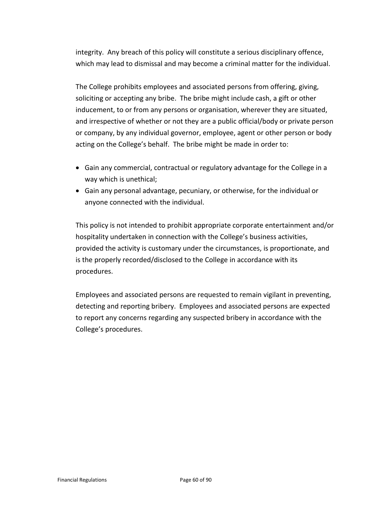integrity. Any breach of this policy will constitute a serious disciplinary offence, which may lead to dismissal and may become a criminal matter for the individual.

The College prohibits employees and associated persons from offering, giving, soliciting or accepting any bribe. The bribe might include cash, a gift or other inducement, to or from any persons or organisation, wherever they are situated, and irrespective of whether or not they are a public official/body or private person or company, by any individual governor, employee, agent or other person or body acting on the College's behalf. The bribe might be made in order to:

- Gain any commercial, contractual or regulatory advantage for the College in a way which is unethical;
- Gain any personal advantage, pecuniary, or otherwise, for the individual or anyone connected with the individual.

This policy is not intended to prohibit appropriate corporate entertainment and/or hospitality undertaken in connection with the College's business activities, provided the activity is customary under the circumstances, is proportionate, and is the properly recorded/disclosed to the College in accordance with its procedures.

Employees and associated persons are requested to remain vigilant in preventing, detecting and reporting bribery. Employees and associated persons are expected to report any concerns regarding any suspected bribery in accordance with the College's procedures.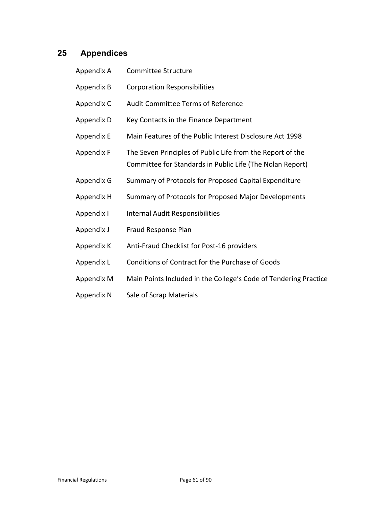# **25 Appendices**

| Appendix A | Committee Structure                                                                                                     |
|------------|-------------------------------------------------------------------------------------------------------------------------|
| Appendix B | <b>Corporation Responsibilities</b>                                                                                     |
| Appendix C | Audit Committee Terms of Reference                                                                                      |
| Appendix D | Key Contacts in the Finance Department                                                                                  |
| Appendix E | Main Features of the Public Interest Disclosure Act 1998                                                                |
| Appendix F | The Seven Principles of Public Life from the Report of the<br>Committee for Standards in Public Life (The Nolan Report) |
| Appendix G | Summary of Protocols for Proposed Capital Expenditure                                                                   |
| Appendix H | Summary of Protocols for Proposed Major Developments                                                                    |
| Appendix I | Internal Audit Responsibilities                                                                                         |
| Appendix J | Fraud Response Plan                                                                                                     |
| Appendix K | Anti-Fraud Checklist for Post-16 providers                                                                              |
| Appendix L | Conditions of Contract for the Purchase of Goods                                                                        |
| Appendix M | Main Points Included in the College's Code of Tendering Practice                                                        |
|            |                                                                                                                         |

Appendix N Sale of Scrap Materials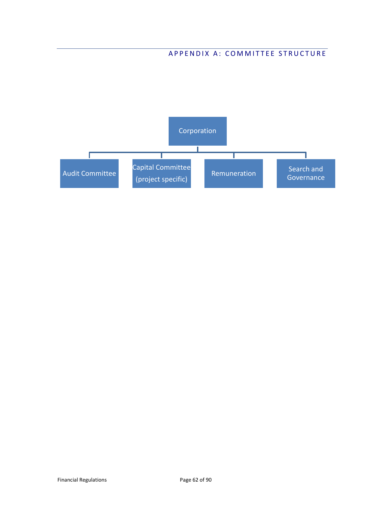# APPENDIX A: COMMITTEE STRUCTURE

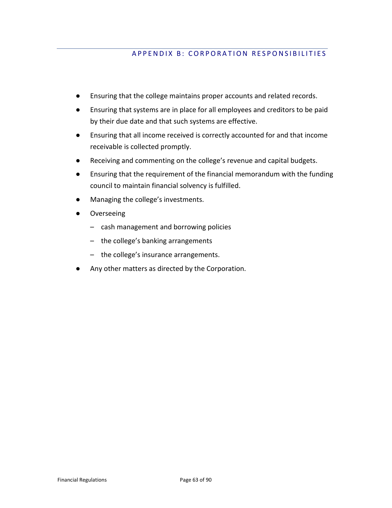# APPENDIX B: CORPORATION RESPONSIBILITIES

- Ensuring that the college maintains proper accounts and related records.
- Ensuring that systems are in place for all employees and creditors to be paid by their due date and that such systems are effective.
- Ensuring that all income received is correctly accounted for and that income receivable is collected promptly.
- Receiving and commenting on the college's revenue and capital budgets.
- Ensuring that the requirement of the financial memorandum with the funding council to maintain financial solvency is fulfilled.
- Managing the college's investments.
- Overseeing
	- cash management and borrowing policies
	- the college's banking arrangements
	- the college's insurance arrangements.
- Any other matters as directed by the Corporation.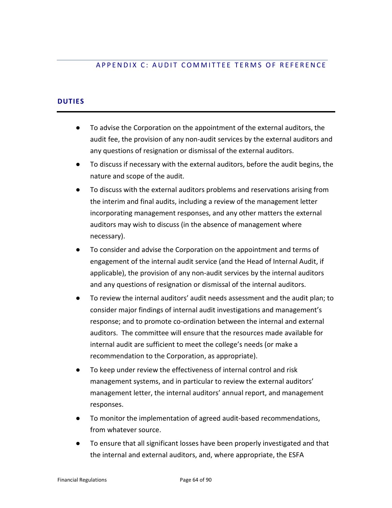# APPENDIX C: AUDIT COMMITTEE TERMS OF REFERENCE

# **DUTIES**

- To advise the Corporation on the appointment of the external auditors, the audit fee, the provision of any non-audit services by the external auditors and any questions of resignation or dismissal of the external auditors.
- To discuss if necessary with the external auditors, before the audit begins, the nature and scope of the audit.
- To discuss with the external auditors problems and reservations arising from the interim and final audits, including a review of the management letter incorporating management responses, and any other matters the external auditors may wish to discuss (in the absence of management where necessary).
- To consider and advise the Corporation on the appointment and terms of engagement of the internal audit service (and the Head of Internal Audit, if applicable), the provision of any non-audit services by the internal auditors and any questions of resignation or dismissal of the internal auditors.
- To review the internal auditors' audit needs assessment and the audit plan; to consider major findings of internal audit investigations and management's response; and to promote co-ordination between the internal and external auditors. The committee will ensure that the resources made available for internal audit are sufficient to meet the college's needs (or make a recommendation to the Corporation, as appropriate).
- To keep under review the effectiveness of internal control and risk management systems, and in particular to review the external auditors' management letter, the internal auditors' annual report, and management responses.
- To monitor the implementation of agreed audit-based recommendations, from whatever source.
- To ensure that all significant losses have been properly investigated and that the internal and external auditors, and, where appropriate, the ESFA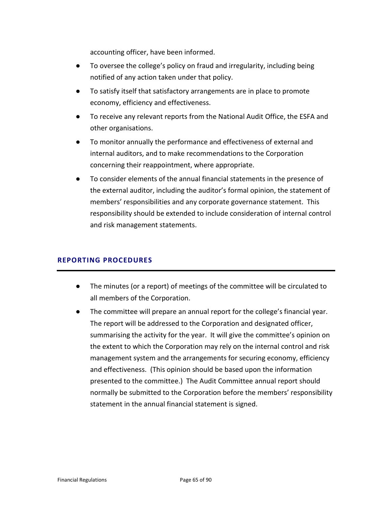accounting officer, have been informed.

- To oversee the college's policy on fraud and irregularity, including being notified of any action taken under that policy.
- To satisfy itself that satisfactory arrangements are in place to promote economy, efficiency and effectiveness.
- To receive any relevant reports from the National Audit Office, the ESFA and other organisations.
- To monitor annually the performance and effectiveness of external and internal auditors, and to make recommendations to the Corporation concerning their reappointment, where appropriate.
- To consider elements of the annual financial statements in the presence of the external auditor, including the auditor's formal opinion, the statement of members' responsibilities and any corporate governance statement. This responsibility should be extended to include consideration of internal control and risk management statements.

# **REPORTING PROCEDURES**

- The minutes (or a report) of meetings of the committee will be circulated to all members of the Corporation.
- The committee will prepare an annual report for the college's financial year. The report will be addressed to the Corporation and designated officer, summarising the activity for the year. It will give the committee's opinion on the extent to which the Corporation may rely on the internal control and risk management system and the arrangements for securing economy, efficiency and effectiveness. (This opinion should be based upon the information presented to the committee.) The Audit Committee annual report should normally be submitted to the Corporation before the members' responsibility statement in the annual financial statement is signed.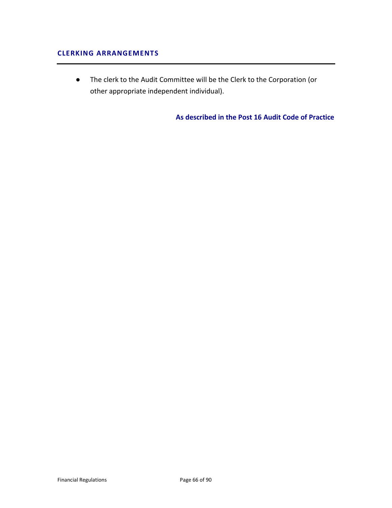# **CLERKING ARRANGEMENTS**

● The clerk to the Audit Committee will be the Clerk to the Corporation (or other appropriate independent individual).

**As described in the Post 16 Audit Code of Practice**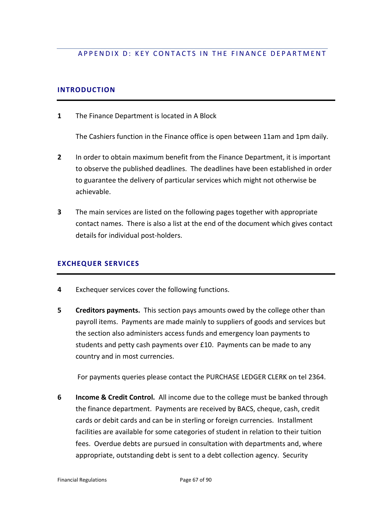# APPENDIX D: KEY CONTACTS IN THE FINANCE DEPARTMENT

### **INTRODUCTION**

**1** The Finance Department is located in A Block

The Cashiers function in the Finance office is open between 11am and 1pm daily.

- **2** In order to obtain maximum benefit from the Finance Department, it is important to observe the published deadlines. The deadlines have been established in order to guarantee the delivery of particular services which might not otherwise be achievable.
- **3** The main services are listed on the following pages together with appropriate contact names. There is also a list at the end of the document which gives contact details for individual post-holders.

### **EXCHEQUER SERVICES**

- **4** Exchequer services cover the following functions.
- **5** Creditors payments. This section pays amounts owed by the college other than payroll items. Payments are made mainly to suppliers of goods and services but the section also administers access funds and emergency loan payments to students and petty cash payments over £10. Payments can be made to any country and in most currencies.

For payments queries please contact the PURCHASE LEDGER CLERK on tel 2364.

**6 Income & Credit Control.** All income due to the college must be banked through the finance department. Payments are received by BACS, cheque, cash, credit cards or debit cards and can be in sterling or foreign currencies. Installment facilities are available for some categories of student in relation to their tuition fees. Overdue debts are pursued in consultation with departments and, where appropriate, outstanding debt is sent to a debt collection agency. Security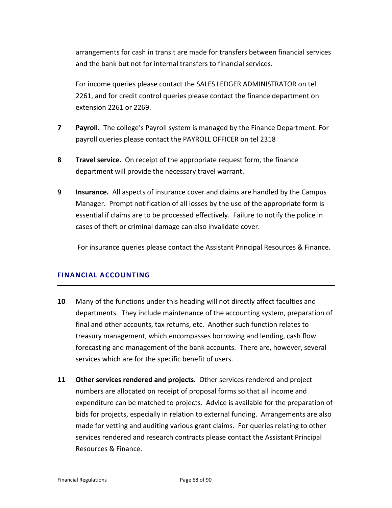arrangements for cash in transit are made for transfers between financial services and the bank but not for internal transfers to financial services.

For income queries please contact the SALES LEDGER ADMINISTRATOR on tel 2261, and for credit control queries please contact the finance department on extension 2261 or 2269.

- **7 Payroll.** The college's Payroll system is managed by the Finance Department. For payroll queries please contact the PAYROLL OFFICER on tel 2318
- **8 Travel service.** On receipt of the appropriate request form, the finance department will provide the necessary travel warrant.
- **9 Insurance.** All aspects of insurance cover and claims are handled by the Campus Manager. Prompt notification of all losses by the use of the appropriate form is essential if claims are to be processed effectively. Failure to notify the police in cases of theft or criminal damage can also invalidate cover.

For insurance queries please contact the Assistant Principal Resources & Finance.

# **FINANCIAL ACCOUNTING**

- **10** Many of the functions under this heading will not directly affect faculties and departments. They include maintenance of the accounting system, preparation of final and other accounts, tax returns, etc. Another such function relates to treasury management, which encompasses borrowing and lending, cash flow forecasting and management of the bank accounts. There are, however, several services which are for the specific benefit of users.
- **11 Other services rendered and projects.** Other services rendered and project numbers are allocated on receipt of proposal forms so that all income and expenditure can be matched to projects. Advice is available for the preparation of bids for projects, especially in relation to external funding. Arrangements are also made for vetting and auditing various grant claims. For queries relating to other services rendered and research contracts please contact the Assistant Principal Resources & Finance.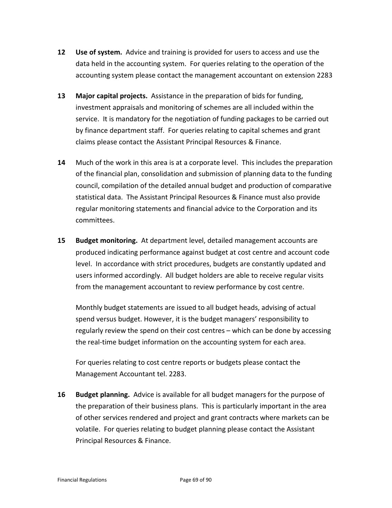- **12 Use of system.** Advice and training is provided for users to access and use the data held in the accounting system. For queries relating to the operation of the accounting system please contact the management accountant on extension 2283
- **13 Major capital projects.** Assistance in the preparation of bids for funding, investment appraisals and monitoring of schemes are all included within the service. It is mandatory for the negotiation of funding packages to be carried out by finance department staff. For queries relating to capital schemes and grant claims please contact the Assistant Principal Resources & Finance.
- **14** Much of the work in this area is at a corporate level. This includes the preparation of the financial plan, consolidation and submission of planning data to the funding council, compilation of the detailed annual budget and production of comparative statistical data. The Assistant Principal Resources & Finance must also provide regular monitoring statements and financial advice to the Corporation and its committees.
- **15 Budget monitoring.** At department level, detailed management accounts are produced indicating performance against budget at cost centre and account code level. In accordance with strict procedures, budgets are constantly updated and users informed accordingly. All budget holders are able to receive regular visits from the management accountant to review performance by cost centre.

Monthly budget statements are issued to all budget heads, advising of actual spend versus budget. However, it is the budget managers' responsibility to regularly review the spend on their cost centres – which can be done by accessing the real-time budget information on the accounting system for each area.

For queries relating to cost centre reports or budgets please contact the Management Accountant tel. 2283.

**16 Budget planning.** Advice is available for all budget managers for the purpose of the preparation of their business plans. This is particularly important in the area of other services rendered and project and grant contracts where markets can be volatile. For queries relating to budget planning please contact the Assistant Principal Resources & Finance.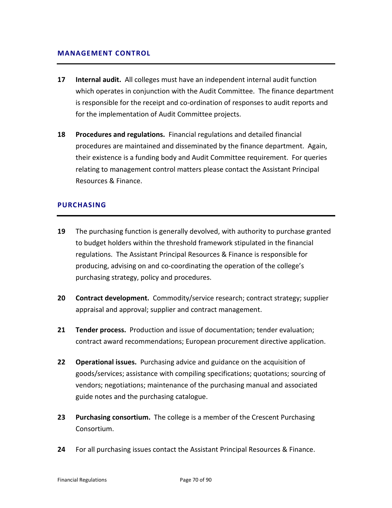### **MANAGEMENT CONTROL**

- **17 Internal audit.** All colleges must have an independent internal audit function which operates in conjunction with the Audit Committee. The finance department is responsible for the receipt and co-ordination of responses to audit reports and for the implementation of Audit Committee projects.
- **18 Procedures and regulations.** Financial regulations and detailed financial procedures are maintained and disseminated by the finance department. Again, their existence is a funding body and Audit Committee requirement. For queries relating to management control matters please contact the Assistant Principal Resources & Finance.

# **PURCHASING**

- **19** The purchasing function is generally devolved, with authority to purchase granted to budget holders within the threshold framework stipulated in the financial regulations. The Assistant Principal Resources & Finance is responsible for producing, advising on and co-coordinating the operation of the college's purchasing strategy, policy and procedures.
- **20 Contract development.** Commodity/service research; contract strategy; supplier appraisal and approval; supplier and contract management.
- **21 Tender process.** Production and issue of documentation; tender evaluation; contract award recommendations; European procurement directive application.
- **22 Operational issues.** Purchasing advice and guidance on the acquisition of goods/services; assistance with compiling specifications; quotations; sourcing of vendors; negotiations; maintenance of the purchasing manual and associated guide notes and the purchasing catalogue.
- **23 Purchasing consortium.** The college is a member of the Crescent Purchasing Consortium.
- **24** For all purchasing issues contact the Assistant Principal Resources & Finance.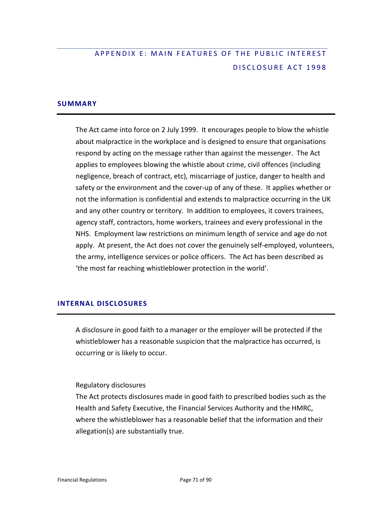# APPENDIX E: MAIN FEATURES OF THE PUBLIC INTEREST DISCLOSURE ACT 1998

# **SUMMARY**

The Act came into force on 2 July 1999. It encourages people to blow the whistle about malpractice in the workplace and is designed to ensure that organisations respond by acting on the message rather than against the messenger. The Act applies to employees blowing the whistle about crime, civil offences (including negligence, breach of contract, etc), miscarriage of justice, danger to health and safety or the environment and the cover-up of any of these. It applies whether or not the information is confidential and extends to malpractice occurring in the UK and any other country or territory. In addition to employees, it covers trainees, agency staff, contractors, home workers, trainees and every professional in the NHS. Employment law restrictions on minimum length of service and age do not apply. At present, the Act does not cover the genuinely self-employed, volunteers, the army, intelligence services or police officers. The Act has been described as 'the most far reaching whistleblower protection in the world'.

# **INTERNAL DISCLOSURES**

A disclosure in good faith to a manager or the employer will be protected if the whistleblower has a reasonable suspicion that the malpractice has occurred, is occurring or is likely to occur.

### Regulatory disclosures

The Act protects disclosures made in good faith to prescribed bodies such as the Health and Safety Executive, the Financial Services Authority and the HMRC, where the whistleblower has a reasonable belief that the information and their allegation(s) are substantially true.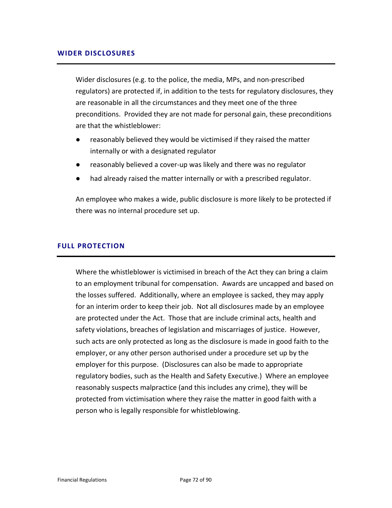### **WIDER DISCLOSURES**

Wider disclosures (e.g. to the police, the media, MPs, and non-prescribed regulators) are protected if, in addition to the tests for regulatory disclosures, they are reasonable in all the circumstances and they meet one of the three preconditions. Provided they are not made for personal gain, these preconditions are that the whistleblower:

- reasonably believed they would be victimised if they raised the matter internally or with a designated regulator
- reasonably believed a cover-up was likely and there was no regulator
- had already raised the matter internally or with a prescribed regulator.

An employee who makes a wide, public disclosure is more likely to be protected if there was no internal procedure set up.

### **FULL PROTECTION**

Where the whistleblower is victimised in breach of the Act they can bring a claim to an employment tribunal for compensation. Awards are uncapped and based on the losses suffered. Additionally, where an employee is sacked, they may apply for an interim order to keep their job. Not all disclosures made by an employee are protected under the Act. Those that are include criminal acts, health and safety violations, breaches of legislation and miscarriages of justice. However, such acts are only protected as long as the disclosure is made in good faith to the employer, or any other person authorised under a procedure set up by the employer for this purpose. (Disclosures can also be made to appropriate regulatory bodies, such as the Health and Safety Executive.) Where an employee reasonably suspects malpractice (and this includes any crime), they will be protected from victimisation where they raise the matter in good faith with a person who is legally responsible for whistleblowing.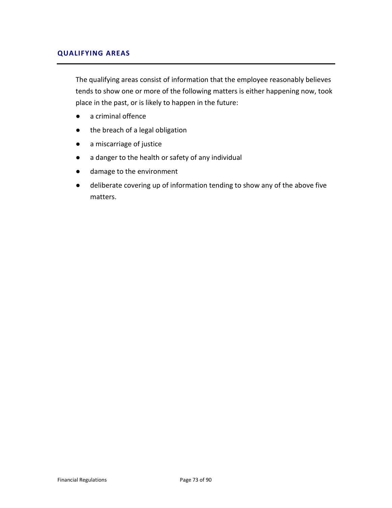# **QUALIFYING AREAS**

The qualifying areas consist of information that the employee reasonably believes tends to show one or more of the following matters is either happening now, took place in the past, or is likely to happen in the future:

- a criminal offence
- the breach of a legal obligation
- a miscarriage of justice
- a danger to the health or safety of any individual
- damage to the environment
- deliberate covering up of information tending to show any of the above five matters.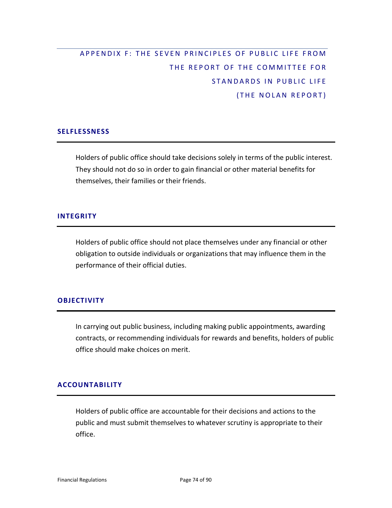# APPENDIX F: THE SEVEN PRINCIPLES OF PUBLIC LIFE FROM THE REPORT OF THE COMMITTEE FOR STANDARDS IN PUBLIC LIFE (THE NOLAN REPORT)

## **SELFLESSNESS**

Holders of public office should take decisions solely in terms of the public interest. They should not do so in order to gain financial or other material benefits for themselves, their families or their friends.

# **INTEGRITY**

Holders of public office should not place themselves under any financial or other obligation to outside individuals or organizations that may influence them in the performance of their official duties.

# **OBJECTIVITY**

In carrying out public business, including making public appointments, awarding contracts, or recommending individuals for rewards and benefits, holders of public office should make choices on merit.

# **ACCOUNTABILITY**

Holders of public office are accountable for their decisions and actions to the public and must submit themselves to whatever scrutiny is appropriate to their office.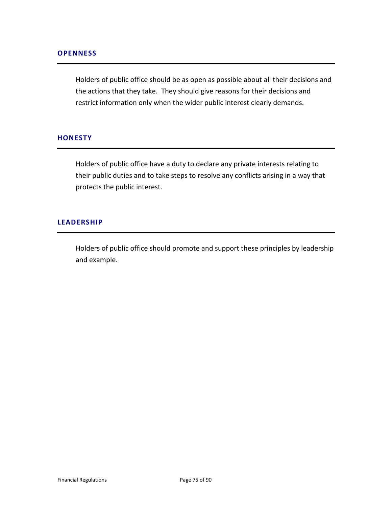Holders of public office should be as open as possible about all their decisions and the actions that they take. They should give reasons for their decisions and restrict information only when the wider public interest clearly demands.

# **HONESTY**

Holders of public office have a duty to declare any private interests relating to their public duties and to take steps to resolve any conflicts arising in a way that protects the public interest.

#### **LEADERSHIP**

Holders of public office should promote and support these principles by leadership and example.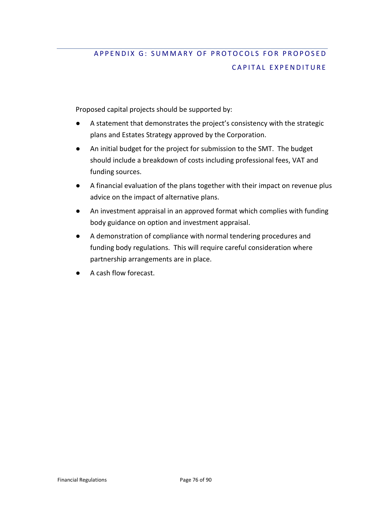# APPENDIX G: SUMMARY OF PROTOCOLS FOR PROPOSED CAPITAL EXPENDITURE

Proposed capital projects should be supported by:

- A statement that demonstrates the project's consistency with the strategic plans and Estates Strategy approved by the Corporation.
- An initial budget for the project for submission to the SMT. The budget should include a breakdown of costs including professional fees, VAT and funding sources.
- A financial evaluation of the plans together with their impact on revenue plus advice on the impact of alternative plans.
- An investment appraisal in an approved format which complies with funding body guidance on option and investment appraisal.
- A demonstration of compliance with normal tendering procedures and funding body regulations. This will require careful consideration where partnership arrangements are in place.
- A cash flow forecast.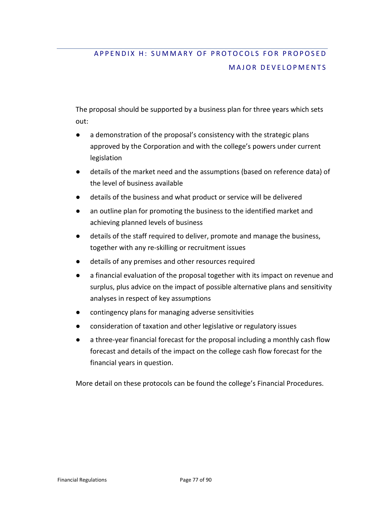# APPENDIX H: SUMMARY OF PROTOCOLS FOR PROPOSED MAJOR DEVELOPMENTS

The proposal should be supported by a business plan for three years which sets out:

- a demonstration of the proposal's consistency with the strategic plans approved by the Corporation and with the college's powers under current legislation
- details of the market need and the assumptions (based on reference data) of the level of business available
- details of the business and what product or service will be delivered
- an outline plan for promoting the business to the identified market and achieving planned levels of business
- details of the staff required to deliver, promote and manage the business, together with any re-skilling or recruitment issues
- details of any premises and other resources required
- a financial evaluation of the proposal together with its impact on revenue and surplus, plus advice on the impact of possible alternative plans and sensitivity analyses in respect of key assumptions
- contingency plans for managing adverse sensitivities
- consideration of taxation and other legislative or regulatory issues
- a three-year financial forecast for the proposal including a monthly cash flow forecast and details of the impact on the college cash flow forecast for the financial years in question.

More detail on these protocols can be found the college's Financial Procedures.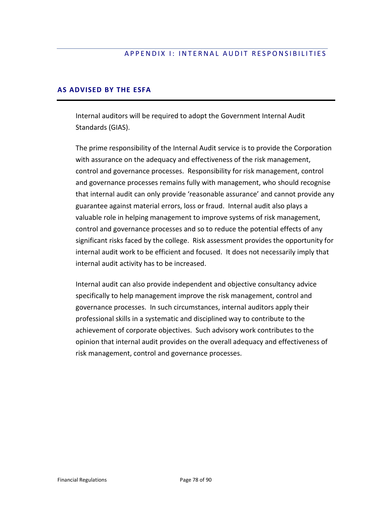# APPENDIX I: INTERNAL AUDIT RESPONSIBILITIES

# **AS ADVISED BY THE ESFA**

Internal auditors will be required to adopt the Government Internal Audit Standards (GIAS).

The prime responsibility of the Internal Audit service is to provide the Corporation with assurance on the adequacy and effectiveness of the risk management, control and governance processes. Responsibility for risk management, control and governance processes remains fully with management, who should recognise that internal audit can only provide 'reasonable assurance' and cannot provide any guarantee against material errors, loss or fraud. Internal audit also plays a valuable role in helping management to improve systems of risk management, control and governance processes and so to reduce the potential effects of any significant risks faced by the college. Risk assessment provides the opportunity for internal audit work to be efficient and focused. It does not necessarily imply that internal audit activity has to be increased.

Internal audit can also provide independent and objective consultancy advice specifically to help management improve the risk management, control and governance processes. In such circumstances, internal auditors apply their professional skills in a systematic and disciplined way to contribute to the achievement of corporate objectives. Such advisory work contributes to the opinion that internal audit provides on the overall adequacy and effectiveness of risk management, control and governance processes.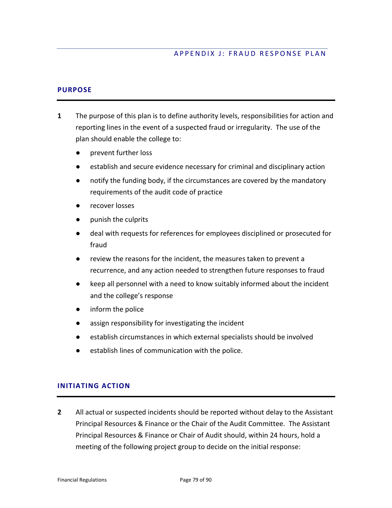# APPENDIX J: FRAUD RESPONSE PLAN

# **PURPOSE**

- **1** The purpose of this plan is to define authority levels, responsibilities for action and reporting lines in the event of a suspected fraud or irregularity. The use of the plan should enable the college to:
	- prevent further loss
	- establish and secure evidence necessary for criminal and disciplinary action
	- notify the funding body, if the circumstances are covered by the mandatory requirements of the audit code of practice
	- recover losses
	- punish the culprits
	- deal with requests for references for employees disciplined or prosecuted for fraud
	- review the reasons for the incident, the measures taken to prevent a recurrence, and any action needed to strengthen future responses to fraud
	- keep all personnel with a need to know suitably informed about the incident and the college's response
	- inform the police
	- assign responsibility for investigating the incident
	- establish circumstances in which external specialists should be involved
	- establish lines of communication with the police.

# **INITIATING ACTION**

**2** All actual or suspected incidents should be reported without delay to the Assistant Principal Resources & Finance or the Chair of the Audit Committee. The Assistant Principal Resources & Finance or Chair of Audit should, within 24 hours, hold a meeting of the following project group to decide on the initial response: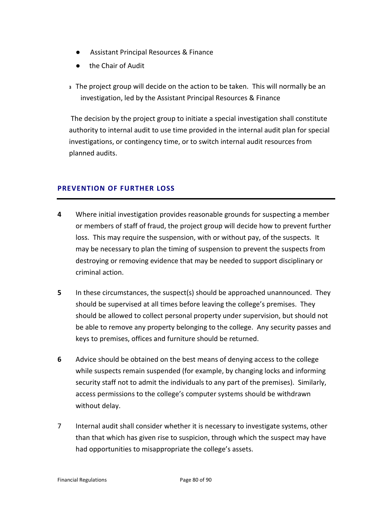- Assistant Principal Resources & Finance
- the Chair of Audit
- **<sup>3</sup>** The project group will decide on the action to be taken. This will normally be an investigation, led by the Assistant Principal Resources & Finance

The decision by the project group to initiate a special investigation shall constitute authority to internal audit to use time provided in the internal audit plan for special investigations, or contingency time, or to switch internal audit resources from planned audits.

# **PREVENTION OF FURTHER LOSS**

- **4** Where initial investigation provides reasonable grounds for suspecting a member or members of staff of fraud, the project group will decide how to prevent further loss. This may require the suspension, with or without pay, of the suspects. It may be necessary to plan the timing of suspension to prevent the suspects from destroying or removing evidence that may be needed to support disciplinary or criminal action.
- **5** In these circumstances, the suspect(s) should be approached unannounced. They should be supervised at all times before leaving the college's premises. They should be allowed to collect personal property under supervision, but should not be able to remove any property belonging to the college. Any security passes and keys to premises, offices and furniture should be returned.
- **6** Advice should be obtained on the best means of denying access to the college while suspects remain suspended (for example, by changing locks and informing security staff not to admit the individuals to any part of the premises). Similarly, access permissions to the college's computer systems should be withdrawn without delay.
- 7 Internal audit shall consider whether it is necessary to investigate systems, other than that which has given rise to suspicion, through which the suspect may have had opportunities to misappropriate the college's assets.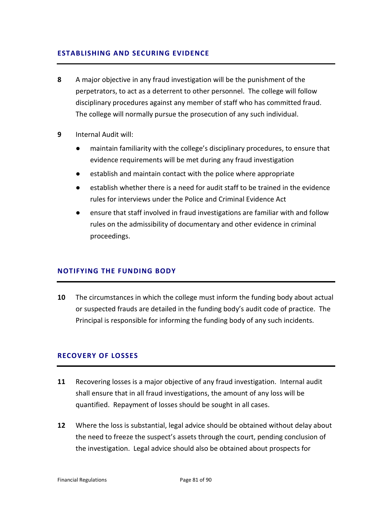# **ESTABLISHING AND SECURING EVIDENCE**

- **8** A major objective in any fraud investigation will be the punishment of the perpetrators, to act as a deterrent to other personnel. The college will follow disciplinary procedures against any member of staff who has committed fraud. The college will normally pursue the prosecution of any such individual.
- **9** Internal Audit will:
	- maintain familiarity with the college's disciplinary procedures, to ensure that evidence requirements will be met during any fraud investigation
	- establish and maintain contact with the police where appropriate
	- establish whether there is a need for audit staff to be trained in the evidence rules for interviews under the Police and Criminal Evidence Act
	- ensure that staff involved in fraud investigations are familiar with and follow rules on the admissibility of documentary and other evidence in criminal proceedings.

## **NOTIFYING THE FUNDING BODY**

**10** The circumstances in which the college must inform the funding body about actual or suspected frauds are detailed in the funding body's audit code of practice. The Principal is responsible for informing the funding body of any such incidents.

## **RECOVERY OF LOSSES**

- **11** Recovering losses is a major objective of any fraud investigation. Internal audit shall ensure that in all fraud investigations, the amount of any loss will be quantified. Repayment of losses should be sought in all cases.
- **12** Where the loss is substantial, legal advice should be obtained without delay about the need to freeze the suspect's assets through the court, pending conclusion of the investigation. Legal advice should also be obtained about prospects for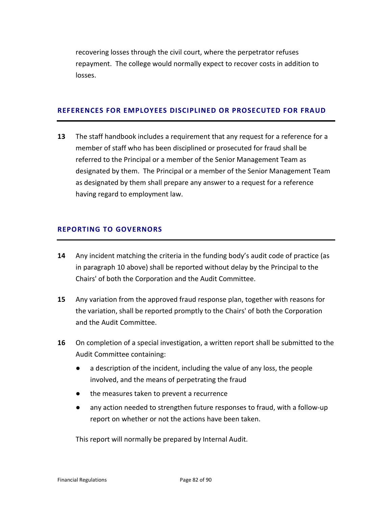recovering losses through the civil court, where the perpetrator refuses repayment. The college would normally expect to recover costs in addition to losses.

#### **REFERENCES FOR EMPLOYEES DISCIPLINED OR PROSECUTED FOR FRAUD**

**13** The staff handbook includes a requirement that any request for a reference for a member of staff who has been disciplined or prosecuted for fraud shall be referred to the Principal or a member of the Senior Management Team as designated by them. The Principal or a member of the Senior Management Team as designated by them shall prepare any answer to a request for a reference having regard to employment law.

# **REPORTING TO GOVERNORS**

- **14** Any incident matching the criteria in the funding body's audit code of practice (as in paragraph 10 above) shall be reported without delay by the Principal to the Chairs' of both the Corporation and the Audit Committee.
- **15** Any variation from the approved fraud response plan, together with reasons for the variation, shall be reported promptly to the Chairs' of both the Corporation and the Audit Committee.
- **16** On completion of a special investigation, a written report shall be submitted to the Audit Committee containing:
	- a description of the incident, including the value of any loss, the people involved, and the means of perpetrating the fraud
	- the measures taken to prevent a recurrence
	- any action needed to strengthen future responses to fraud, with a follow-up report on whether or not the actions have been taken.

This report will normally be prepared by Internal Audit.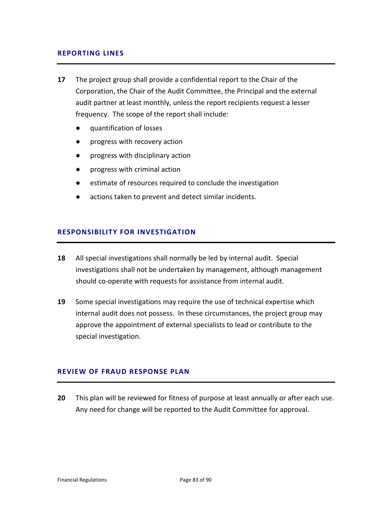# **REPORTING LINES**

- **17** The project group shall provide a confidential report to the Chair of the Corporation, the Chair of the Audit Committee, the Principal and the external audit partner at least monthly, unless the report recipients request a lesser frequency. The scope of the report shall include:
	- quantification of losses
	- progress with recovery action
	- progress with disciplinary action
	- progress with criminal action
	- estimate of resources required to conclude the investigation
	- actions taken to prevent and detect similar incidents.

# **RESPONSIBILITY FOR INVESTIGATION**

- **18** All special investigations shall normally be led by internal audit. Special investigations shall not be undertaken by management, although management should co-operate with requests for assistance from internal audit.
- **19** Some special investigations may require the use of technical expertise which internal audit does not possess. In these circumstances, the project group may approve the appointment of external specialists to lead or contribute to the special investigation.

# **REVIEW OF FRAUD RESPONSE PLAN**

**20** This plan will be reviewed for fitness of purpose at least annually or after each use. Any need for change will be reported to the Audit Committee for approval.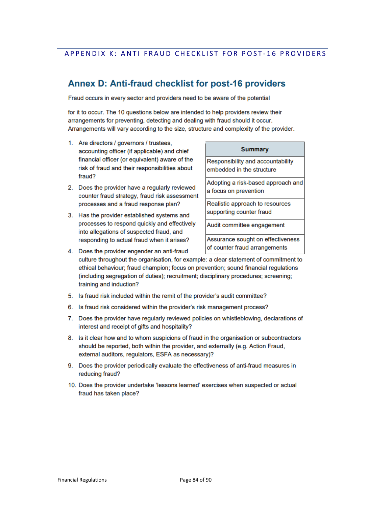# APPENDIX K: ANTI FRAUD CHECKLIST FOR POST-16 PROVIDERS

# Annex D: Anti-fraud checklist for post-16 providers

Fraud occurs in every sector and providers need to be aware of the potential

for it to occur. The 10 questions below are intended to help providers review their arrangements for preventing, detecting and dealing with fraud should it occur. Arrangements will vary according to the size, structure and complexity of the provider.

- 1. Are directors / governors / trustees, accounting officer (if applicable) and chief financial officer (or equivalent) aware of the risk of fraud and their responsibilities about fraud?
- 2. Does the provider have a regularly reviewed counter fraud strategy, fraud risk assessment processes and a fraud response plan?
- 3. Has the provider established systems and processes to respond quickly and effectively into allegations of suspected fraud, and responding to actual fraud when it arises?

#### **Summary**

Responsibility and accountability embedded in the structure

Adopting a risk-based approach and a focus on prevention

Realistic approach to resources supporting counter fraud

Audit committee engagement

Assurance sought on effectiveness of counter fraud arrangements

- 4. Does the provider engender an anti-fraud culture throughout the organisation, for example: a clear statement of commitment to ethical behaviour; fraud champion; focus on prevention; sound financial regulations (including segregation of duties); recruitment; disciplinary procedures; screening; training and induction?
- 5. Is fraud risk included within the remit of the provider's audit committee?
- 6. Is fraud risk considered within the provider's risk management process?
- 7. Does the provider have regularly reviewed policies on whistleblowing, declarations of interest and receipt of gifts and hospitality?
- 8. Is it clear how and to whom suspicions of fraud in the organisation or subcontractors should be reported, both within the provider, and externally (e.g. Action Fraud, external auditors, regulators, ESFA as necessary)?
- 9. Does the provider periodically evaluate the effectiveness of anti-fraud measures in reducing fraud?
- 10. Does the provider undertake 'lessons learned' exercises when suspected or actual fraud has taken place?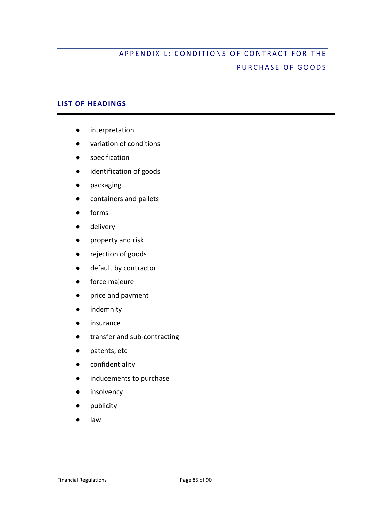# APPENDIX L: CONDITIONS OF CONTRACT FOR THE PURCHASE OF GOODS

# **LIST OF HEADINGS**

- interpretation
- variation of conditions
- specification
- identification of goods
- packaging
- containers and pallets
- forms
- delivery
- property and risk
- rejection of goods
- default by contractor
- force majeure
- price and payment
- indemnity
- insurance
- transfer and sub-contracting
- patents, etc
- confidentiality
- inducements to purchase
- insolvency
- publicity
- law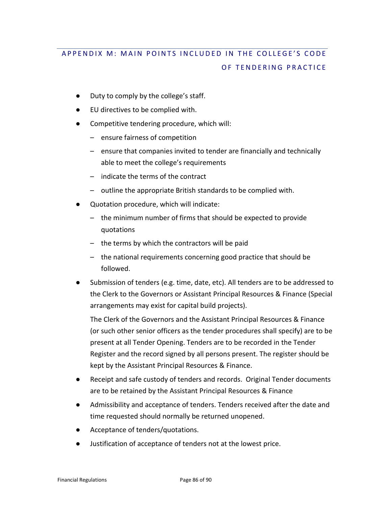# APPENDIX M : MAIN POINTS INCLUDED IN THE COLLEGE 'S CODE OF TENDERING PRACTICE

- Duty to comply by the college's staff.
- EU directives to be complied with.
- Competitive tendering procedure, which will:
	- ensure fairness of competition
	- ensure that companies invited to tender are financially and technically able to meet the college's requirements
	- indicate the terms of the contract
	- outline the appropriate British standards to be complied with.
- Quotation procedure, which will indicate:
	- the minimum number of firms that should be expected to provide quotations
	- the terms by which the contractors will be paid
	- the national requirements concerning good practice that should be followed.
- Submission of tenders (e.g. time, date, etc). All tenders are to be addressed to the Clerk to the Governors or Assistant Principal Resources & Finance (Special arrangements may exist for capital build projects).

The Clerk of the Governors and the Assistant Principal Resources & Finance (or such other senior officers as the tender procedures shall specify) are to be present at all Tender Opening. Tenders are to be recorded in the Tender Register and the record signed by all persons present. The register should be kept by the Assistant Principal Resources & Finance.

- Receipt and safe custody of tenders and records. Original Tender documents are to be retained by the Assistant Principal Resources & Finance
- Admissibility and acceptance of tenders. Tenders received after the date and time requested should normally be returned unopened.
- Acceptance of tenders/quotations.
- Justification of acceptance of tenders not at the lowest price.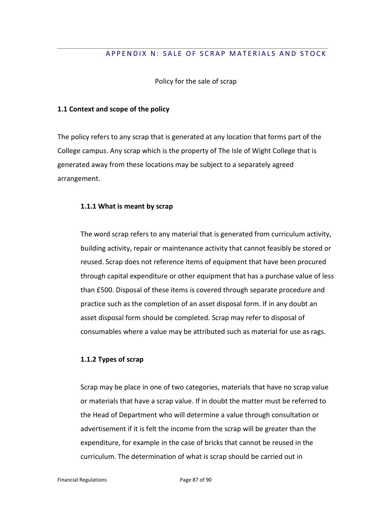# APPENDIX N: SALE OF SCRAP MATERIALS AND STOCK

Policy for the sale of scrap

#### **1.1 Context and scope of the policy**

The policy refers to any scrap that is generated at any location that forms part of the College campus. Any scrap which is the property of The Isle of Wight College that is generated away from these locations may be subject to a separately agreed arrangement.

## **1.1.1 What is meant by scrap**

The word scrap refers to any material that is generated from curriculum activity, building activity, repair or maintenance activity that cannot feasibly be stored or reused. Scrap does not reference items of equipment that have been procured through capital expenditure or other equipment that has a purchase value of less than £500. Disposal of these items is covered through separate procedure and practice such as the completion of an asset disposal form. If in any doubt an asset disposal form should be completed. Scrap may refer to disposal of consumables where a value may be attributed such as material for use as rags.

# **1.1.2 Types of scrap**

Scrap may be place in one of two categories, materials that have no scrap value or materials that have a scrap value. If in doubt the matter must be referred to the Head of Department who will determine a value through consultation or advertisement if it is felt the income from the scrap will be greater than the expenditure, for example in the case of bricks that cannot be reused in the curriculum. The determination of what is scrap should be carried out in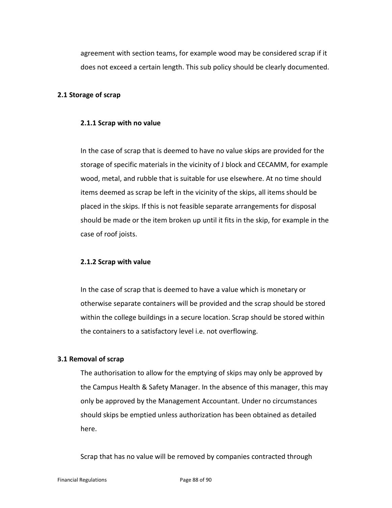agreement with section teams, for example wood may be considered scrap if it does not exceed a certain length. This sub policy should be clearly documented.

## **2.1 Storage of scrap**

#### **2.1.1 Scrap with no value**

In the case of scrap that is deemed to have no value skips are provided for the storage of specific materials in the vicinity of J block and CECAMM, for example wood, metal, and rubble that is suitable for use elsewhere. At no time should items deemed as scrap be left in the vicinity of the skips, all items should be placed in the skips. If this is not feasible separate arrangements for disposal should be made or the item broken up until it fits in the skip, for example in the case of roof joists.

#### **2.1.2 Scrap with value**

In the case of scrap that is deemed to have a value which is monetary or otherwise separate containers will be provided and the scrap should be stored within the college buildings in a secure location. Scrap should be stored within the containers to a satisfactory level i.e. not overflowing.

## **3.1 Removal of scrap**

The authorisation to allow for the emptying of skips may only be approved by the Campus Health & Safety Manager. In the absence of this manager, this may only be approved by the Management Accountant. Under no circumstances should skips be emptied unless authorization has been obtained as detailed here.

Scrap that has no value will be removed by companies contracted through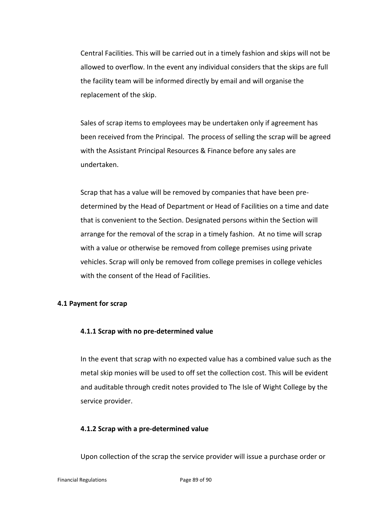Central Facilities. This will be carried out in a timely fashion and skips will not be allowed to overflow. In the event any individual considers that the skips are full the facility team will be informed directly by email and will organise the replacement of the skip.

Sales of scrap items to employees may be undertaken only if agreement has been received from the Principal. The process of selling the scrap will be agreed with the Assistant Principal Resources & Finance before any sales are undertaken.

Scrap that has a value will be removed by companies that have been predetermined by the Head of Department or Head of Facilities on a time and date that is convenient to the Section. Designated persons within the Section will arrange for the removal of the scrap in a timely fashion. At no time will scrap with a value or otherwise be removed from college premises using private vehicles. Scrap will only be removed from college premises in college vehicles with the consent of the Head of Facilities.

# **4.1 Payment for scrap**

## **4.1.1 Scrap with no pre-determined value**

In the event that scrap with no expected value has a combined value such as the metal skip monies will be used to off set the collection cost. This will be evident and auditable through credit notes provided to The Isle of Wight College by the service provider.

## **4.1.2 Scrap with a pre-determined value**

Upon collection of the scrap the service provider will issue a purchase order or